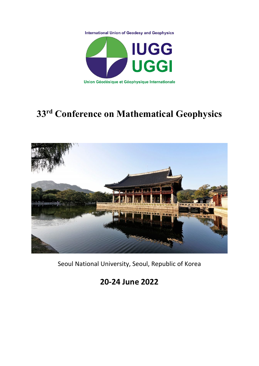



# **33rd Conference on Mathematical Geophysics**



Seoul National University, Seoul, Republic of Korea

# **20-24 June 2022**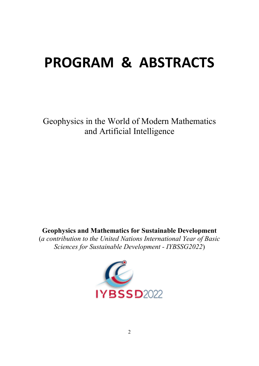# **PROGRAM & ABSTRACTS**

Geophysics in the World of Modern Mathematics and Artificial Intelligence

# **Geophysics and Mathematics for Sustainable Development**

(*a contribution to the United Nations International Year of Basic Sciences for Sustainable Development - IYBSSG2022*)

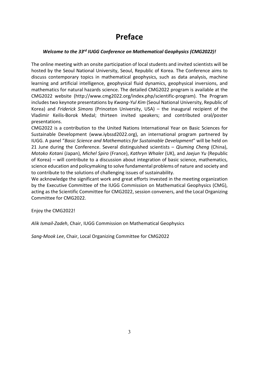# **Preface**

#### *Welcome to the 33rd IUGG Conference on Mathematical Geophysics (CMG2022)!*

The online meeting with an onsite participation of local students and invited scientists will be hosted by the Seoul National University, Seoul, Republic of Korea. The Conference aims to discuss contemporary topics in mathematical geophysics, such as data analysis, machine learning and artificial intelligence, geophysical fluid dynamics, geophysical inversions, and mathematics for natural hazards science. The detailed CMG2022 program is available at the CMG2022 website (http://www.cmg2022.org/index.php/scientific-program). The Program includes two keynote presentations by *Kwang-Yul Kim* (Seoul National University, Republic of Korea) and *Friderick Simons* (Princeton University, USA) – the inaugural recipient of the Vladimir Keilis-Borok Medal; thirteen invited speakers; and contributed oral/poster presentations.

CMG2022 is a contribution to the United Nations International Year on Basic Sciences for Sustainable Development (www.iybssd2022.org), an international program partnered by IUGG. A panel "*Basic Science and Mathematics for Sustainable Development*" will be held on 21 June during the Conference. Several distinguished scientists – *Qiuming Cheng* (China), *Motoko Kotani* (Japan), *Michel Spiro* (France), *Kathryn Whaler* (UK), and *Jaejun Yu* (Republic of Korea) – will contribute to a discussion about integration of basic science, mathematics, science education and policymaking to solve fundamental problems of nature and society and to contribute to the solutions of challenging issues of sustainability.

We acknowledge the significant work and great efforts invested in the meeting organization by the Executive Committee of the IUGG Commission on Mathematical Geophysics (CMG), acting as the Scientific Committee for CMG2022, session conveners, and the Local Organizing Committee for CMG2022.

Enjoy the CMG2022!

*Alik Ismail-Zadeh*, Chair, IUGG Commission on Mathematical Geophysics

*Sang-Mook Lee*, Chair, Local Organizing Committee for CMG2022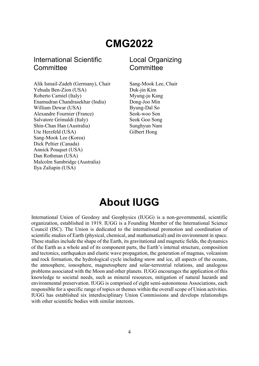# **CMG2022**

## International Scientific **Committee**

Alik Ismail-Zadeh (Germany), Chair Sang-Mook Lee, Chair Yehuda Ben-Zion (USA) Duk-jin Kim Roberto Carniel (Italy) Myung-ju Kang Enamudran Chandrasekhar (India) Dong-Joo Min William Dewar (USA) Byung-Dal So Alexandre Fournier (France) Seok-woo Son Salvatore Grimaldi (Italy) Seok Goo Song Shin-Chan Han (Australia) Sunghyun Nam Ute Herzfeld (USA) Gilbert Hong Sang-Mook Lee (Korea) Dick Peltier (Canada) Annick Pouquet (USA) Dan Rothman (USA) Malcolm Sambridge (Australia) Ilya Zaliapin (USA)

# Local Organizing **Committee**

# **About IUGG**

International Union of Geodesy and Geophysics (IUGG) is a non-governmental, scientific organization, established in 1919. IUGG is a Founding Member of the International Science Council (ISC). The Union is dedicated to the international promotion and coordination of scientific studies of Earth (physical, chemical, and mathematical) and its environment in space. These studies include the shape of the Earth, its gravitational and magnetic fields, the dynamics of the Earth as a whole and of its component parts, the Earth's internal structure, composition and tectonics, earthquakes and elastic wave propagation, the generation of magmas, volcanism and rock formation, the hydrological cycle including snow and ice, all aspects of the oceans, the atmosphere, ionosphere, magnetosphere and solar-terrestrial relations, and analogous problems associated with the Moon and other planets. IUGG encourages the application of this knowledge to societal needs, such as mineral resources, mitigation of natural hazards and environmental preservation. IUGG is comprised of eight semi-autonomous Associations, each responsible for a specific range of topics or themes within the overall scope of Union activities. IUGG has established six interdisciplinary Union Commissions and develops relationships with other scientific bodies with similar interests.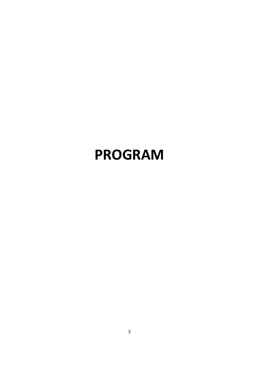# **PROGRAM**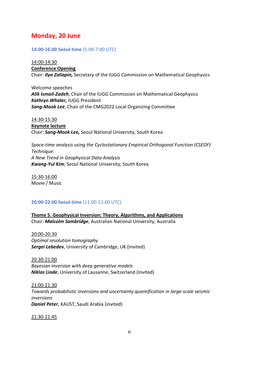## **Monday, 20 June**

**14:00-16:00 Seoul-time** (5:00-7:00 UTC)

14:00-14:30 **Conference Opening**  Chair: *Ilya Zaliapin,* Secretary of the IUGG Commission on Mathematical Geophysics

Welcome speeches *Alik Ismail-Zadeh*, Chair of the IUGG Commission on Mathematical Geophysics *Kathryn Whaler,* IUGG President *Sang-Mook Lee*, Chair of the CMG2022 Local Organizing Committee

14:30-15:30 **Keynote lecture**  Chair: *Sang-Mook Lee,* Seoul National University, South Korea

*Space-time analysis using the Cyclostationary Empirical Orthogonal Function (CSEOF) Technique: A New Trend in Geophysical Data Analysis Kwang-Yul Kim*, Seoul National University, South Korea

15:30-16:00 Movie / Music

#### **20:00-22:00 Seoul-time** (11:00-13:00 UTC)

**Theme 5. Geophysical Inversion: Theory, Algorithms, and Applications** Chair: *Malcolm Sambridge*, Australian National University, Australia

20:00-20:30 *Optimal resolution tomography Sergei Lebedev*, University of Cambridge, UK (invited)

20:30-21:00 *Bayesian inversion with deep generative models Niklas Linde*, University of Lausanne, Switzerland (invited)

21:00-21:30 *Towards probabilistic inversions and uncertainty quantification in large-scale seismic inversions Daniel Peter*, KAUST, Saudi Arabia (invited)

21:30-21:45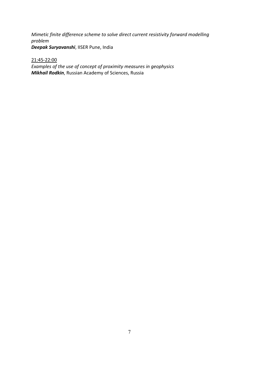*Mimetic finite difference scheme to solve direct current resistivity forward modelling problem Deepak Suryavanshi*, IISER Pune, India

21:45-22:00

*Examples of the use of concept of proximity measures in geophysics Mikhail Rodkin*, Russian Academy of Sciences, Russia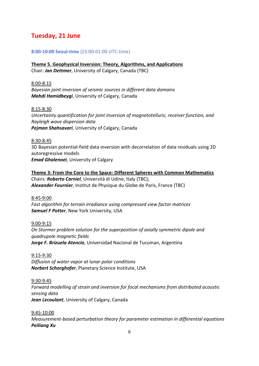# **Tuesday, 21 June**

#### **8:00-10:00 Seoul-time** (23:00-01:00 UTC-time)

**Theme 5. Geophysical Inversion: Theory, Algorithms, and Applications** Chair: *Jan Dettmer*, University of Calgary, Canada (TBC)

#### 8:00-8:15

*Bayesian joint inversion of seismic sources in different data domains Mahdi Hamidbeygi*, University of Calgary, Canada

#### 8:15-8:30

*Uncertainty quantification for joint inversion of magnetotelluric, receiver function, and Rayleigh wave dispersion data Pejman Shahsavari*, University of Calgary, Canada

#### 8:30-8:45

3D Bayesian potential-field data inversion with decorrelation of data residuals using 2D autoregressive models *Emad Ghalenoei*, University of Calgary

**Theme 3: From the Core to the Space: Different Spheres with Common Mathematics** Chairs: *Roberto Carniel*, Università di Udine, Italy (TBC); *Alexander Fournier*, Institut de Physique du Globe de Paris, France (TBC)

8:45-9:00 *Fast algorithm for terrain irradiance using compressed view factor matrices Samuel F Potter*, New York University, USA

#### 9:00-9:15

*On Stormer problem solution for the superposition of axially symmetric dipole and quadrupole magnetic fields Jorge F. Brizuela Atencio*, Universidad Nacional de Tucuman, Argentina

9:15-9:30 *Diffusion of water vapor at lunar polar conditions Norbert Schorghofer*, Planetary Science Institute, USA

#### 9:30-9:45

*Forward modelling of strain and inversion for focal mechanisms from distributed acoustic sensing data Jean Lecoulant*, University of Calgary, Canada

#### 9:45-10:00

*Measurement-based perturbation theory for parameter estimation in differential equations Peiliang Xu*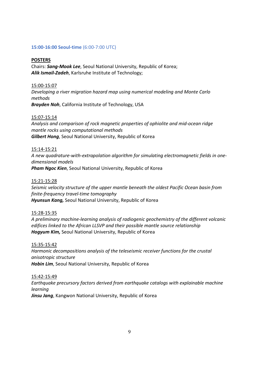#### **15:00-16:00 Seoul-time** (6:00-7:00 UTC)

#### **POSTERS**

Chairs: *Sang-Mook Lee*, Seoul National University, Republic of Korea; *Alik Ismail-Zadeh*, Karlsruhe Institute of Technology;

#### 15:00-15:07

*Developing a river migration hazard map using numerical modeling and Monte Carlo methods* 

*Brayden Noh*, California Institute of Technology, USA

#### 15:07-15:14

*Analysis and comparison of rock magnetic properties of ophiolite and mid-ocean ridge mantle rocks using computational methods Gilbert Hong*, Seoul National University, Republic of Korea

#### 15:14-15:21

*A new quadrature-with-extrapolation algorithm for simulating electromagnetic fields in onedimensional models Pham Ngoc Kien*, Seoul National University, Republic of Korea

#### 15:21-15:28

*Seismic velocity structure of the upper mantle beneath the oldest Pacific Ocean basin from finite-frequency travel-time tomography Hyunsun Kang,* Seoul National University, Republic of Korea

#### 15:28-15:35

*A preliminary machine-learning analysis of radiogenic geochemistry of the different volcanic edifices linked to the African LLSVP and their possible mantle source relationship Hogyum Kim,* Seoul National University, Republic of Korea

#### 15:35-15:42

*Harmonic decompositions analysis of the teleseismic receiver functions for the crustal anisotropic structure Hobin Lim*, Seoul National University, Republic of Korea

#### 15:42-15:49

*Earthquake precursory factors derived from earthquake catalogs with explainable machine learning Jinsu Jang*, Kangwon National University, Republic of Korea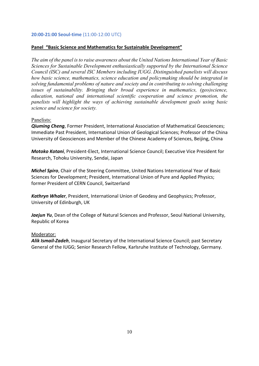#### **20:00-21:00 Seoul-time** (11:00-12:00 UTC)

#### **Panel "Basic Science and Mathematics for Sustainable Development"**

*The aim of the panel is to raise awareness about the United Nations International Year of Basic Sciences for Sustainable Development enthusiastically supported by the International Science Council (ISC) and several ISC Members including IUGG. Distinguished panelists will discuss how basic science, mathematics, science education and policymaking should be integrated in solving fundamental problems of nature and society and in contributing to solving challenging issues of sustainability. Bringing their broad experience in mathematics, (geo)science, education, national and international scientific cooperation and science promotion, the panelists will highlight the ways of achieving sustainable development goals using basic science and science for society.*

#### Panelists:

*Qiuming Cheng*, Former President, International Association of Mathematical Geosciences; Immediate Past President, International Union of Geological Sciences; Professor of the China University of Geosciences and Member of the Chinese Academy of Sciences, Beijing, China

*Motoko Kotani*, President-Elect, International Science Council; Executive Vice President for Research, Tohoku University, Sendai, Japan

*Michel Spiro*, Chair of the Steering Committee, United Nations International Year of Basic Sciences for Development; President, International Union of Pure and Applied Physics; former President of CERN Council, Switzerland

*Kathryn Whaler*, President, International Union of Geodesy and Geophysics; Professor, University of Edinburgh, UK

Jaejun Yu, Dean of the College of Natural Sciences and Professor, Seoul National University, Republic of Korea

#### Moderator:

*Alik Ismail-Zadeh*, Inaugural Secretary of the International Science Council; past Secretary General of the IUGG; Senior Research Fellow, Karlsruhe Institute of Technology, Germany.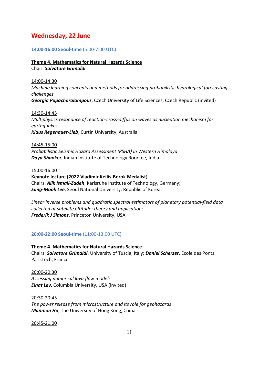## **Wednesday, 22 June**

#### **14:00-16:00 Seoul-time** (5:00-7:00 UTC)

#### **Theme 4. Mathematics for Natural Hazards Science** Chair: *Salvatore Grimaldi*

14:00-14:30 *Machine learning concepts and methods for addressing probabilistic hydrological forecasting challenges Georgia Papacharalampous*, Czech University of Life Sciences, Czech Republic (invited)

14:30-14:45 *Multiphysics resonance of reaction-cross-diffusion waves as nucleation mechanism for earthquakes Klaus Regenauer-Lieb*, Curtin University, Australia

14:45-15:00 *Probabilistic Seismic Hazard Assessment (PSHA) in Western Himalaya Daya Shanker*, Indian Institute of Technology Roorkee, India

#### 15:00-16:00

**Keynote lecture (2022 Vladimir Keilis-Borok Medalist)** Chairs: *Alik Ismail-Zadeh*, Karlsruhe Institute of Technology, Germany; *Sang-Mook Lee*, Seoul National University, Republic of Korea

*Linear inverse problems and quadratic spectral estimators of planetary potential-field data collected at satellite altitude: theory and applications Frederik J Simons*, Princeton University, USA

#### **20:00-22:00 Seoul-time** (11:00-13:00 UTC)

**Theme 4. Mathematics for Natural Hazards Science** Chairs: *Salvatore Grimaldi*, University of Tuscia, Italy; *Daniel Scherzer*, Ecole des Ponts ParisTech, France

20:00-20:30 *Assessing numerical lava flow models Einat Lev*, Columbia University, USA (invited)

20:30-20:45 *The power release from microstructure and its role for geohazards Manman Hu*, The University of Hong Kong, China

20:45-21:00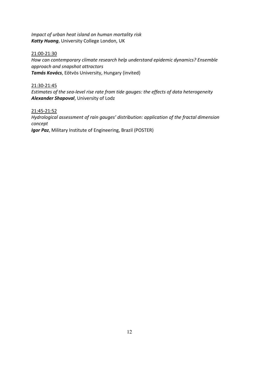*Impact of urban heat island on human mortality risk Katty Huang*, University College London, UK

21:00-21:30 *How can contemporary climate research help understand epidemic dynamics? Ensemble approach and snapshot attractors Tamás Kovács*, Eötvös University, Hungary (invited)

21:30-21:45 *Estimates of the sea-level rise rate from tide gauges: the effects of data heterogeneity Alexander Shapoval*, University of Lodz

21:45-21:52 *Hydrological assessment of rain gauges' distribution: application of the fractal dimension concept Igor Paz*, Military Institute of Engineering, Brazil (POSTER)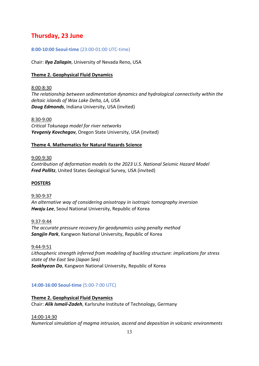# **Thursday, 23 June**

#### **8:00-10:00 Seoul-time** (23:00-01:00 UTC-time)

Chair: *Ilya Zaliapin*, University of Nevada Reno, USA

#### **Theme 2. Geophysical Fluid Dynamics**

8:00-8:30 *The relationship between sedimentation dynamics and hydrological connectivity within the deltaic islands of Wax Lake Delta, LA, USA Doug Edmonds*, Indiana University, USA (invited)

#### 8:30-9:00

*Critical Tokunaga model for river networks Yevgeniy Kovchegov*, Oregon State University, USA (invited)

#### **Theme 4. Mathematics for Natural Hazards Science**

#### 9:00-9:30

*Contribution of deformation models to the 2023 U.S. National Seismic Hazard Model Fred Pollitz*, United States Geological Survey, USA (invited)

#### **POSTERS**

9:30-9:37 *An alternative way of considering anisotropy in isotropic tomography inversion Hwaju Lee*, Seoul National University, Republic of Korea

#### 9:37-9:44

*The accurate pressure recovery for geodynamics using penalty method Sangjin Park*, Kangwon National University, Republic of Korea

#### 9:44-9:51

*Lithospheric strength inferred from modeling of buckling structure: implications for stress state of the East Sea (Japan Sea) Seokhyeon Do*, Kangwon National University, Republic of Korea

#### **14:00-16:00 Seoul-time** (5:00-7:00 UTC)

**Theme 2. Geophysical Fluid Dynamics** Chair: *Alik Ismail-Zadeh*, Karlsruhe Institute of Technology, Germany

#### 14:00-14:30

*Numerical simulation of magma intrusion, ascend and deposition in volcanic environments*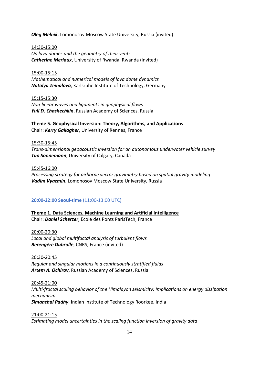*Oleg Melnik*, Lomonosov Moscow State University, Russia (invited)

14:30-15:00 *On lava domes and the geometry of their vents Catherine Meriaux*, University of Rwanda, Rwanda (invited)

15:00-15:15 *Mathematical and numerical models of lava dome dynamics Natalya Zeinalova*, Karlsruhe Institute of Technology, Germany

15:15-15:30 *Non-linear waves and ligaments in geophysical flows Yuli D. Chashechkin*, Russian Academy of Sciences, Russia

**Theme 5. Geophysical Inversion: Theory, Algorithms, and Applications** Chair: *Kerry Gallagher*, University of Rennes, France

15:30-15:45 *Trans-dimensional geoacoustic inversion for an autonomous underwater vehicle survey Tim Sonnemann*, University of Calgary, Canada

15:45-16:00 *Processing strategy for airborne vector gravimetry based on spatial gravity modeling Vadim Vyazmin*, Lomonosov Moscow State University, Russia

#### **20:00-22:00 Seoul-time** (11:00-13:00 UTC)

**Theme 1. Data Sciences, Machine Learning and Artificial Intelligence** Chair: *Daniel Scherzer*, Ecole des Ponts ParisTech, France

20:00-20:30 *Local and global multifactal analysis of turbulent flows Berengère Dubrulle*, CNRS, France (invited)

20:30-20:45 *Regular and singular motions in a continuously stratified fluids Artem A. Ochirov*, Russian Academy of Sciences, Russia

20:45-21:00 *Multi-fractal scaling behavior of the Himalayan seismicity: Implications on energy dissipation mechanism Simanchal Padhy*, Indian Institute of Technology Roorkee, India

21:00-21:15 *Estimating model uncertainties in the scaling function inversion of gravity data*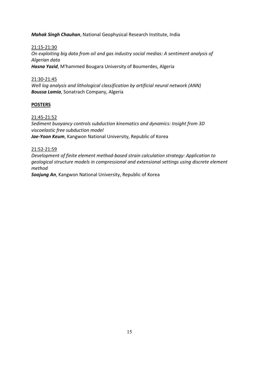#### *Mahak Singh Chauhan*, National Geophysical Research Institute, India

#### 21:15-21:30

*On exploiting big data from oil and gas industry social medias: A sentiment analysis of Algerian data Hasna Yazid*, M'hammed Bougara University of Boumerdes, Algeria

#### 21:30-21:45

*Well log analysis and lithological classification by artificial neural network (ANN) Boussa Lamia*, Sonatrach Company, Algeria

#### **POSTERS**

#### 21:45-21:52

*Sediment buoyancy controls subduction kinematics and dynamics: Insight from 3D viscoelastic free subduction model Jae-Yoon Keum*, Kangwon National University, Republic of Korea

#### 21:52-21:59

*Development of finite element method-based strain calculation strategy: Application to geological structure models in compressional and extensional settings using discrete element method*

*Soojung An*, Kangwon National University, Republic of Korea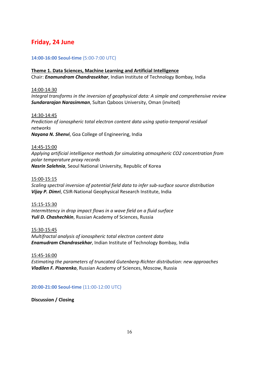# **Friday, 24 June**

#### **14:00-16:00 Seoul-time** (5:00-7:00 UTC)

# **Theme 1. Data Sciences, Machine Learning and Artificial Intelligence**

Chair: *Enamundram Chandrasekhar*, Indian Institute of Technology Bombay, India

#### 14:00-14:30

*Integral transforms in the inversion of geophysical data: A simple and comprehensive review Sundararajan Narasimman*, Sultan Qaboos University, Oman (invited)

14:30-14:45 *Prediction of ionospheric total electron content data using spatio-temporal residual networks Nayana N. Shenvi*, Goa College of Engineering, India

#### 14:45-15:00

*Applying artificial intelligence methods for simulating atmospheric CO2 concentration from polar temperature proxy records Nasrin Salehnia*, Seoul National University, Republic of Korea

#### 15:00-15:15

*Scaling spectral inversion of potential field data to infer sub-surface source distribution Vijay P. Dimri*, CSIR-National Geophysical Research Institute, India

#### 15:15-15:30

*Intermittency in drop impact flows in a wave field on a fluid surface Yuli D. Chashechkin*, Russian Academy of Sciences, Russia

#### 15:30-15:45

*Multifractal analysis of ionospheric total electron content data Enamudram Chandrasekhar*, Indian Institute of Technology Bombay, India

15:45-16:00

*Estimating the parameters of truncated Gutenberg-Richter distribution: new approaches Vladilen F. Pisarenko*, Russian Academy of Sciences, Moscow, Russia

#### **20:00-21:00 Seoul-time** (11:00-12:00 UTC)

**Discussion / Closing**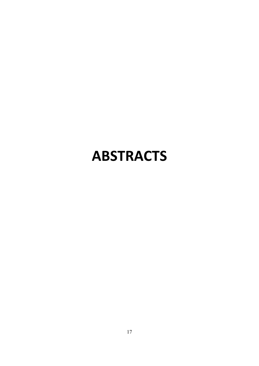# **ABSTRACTS**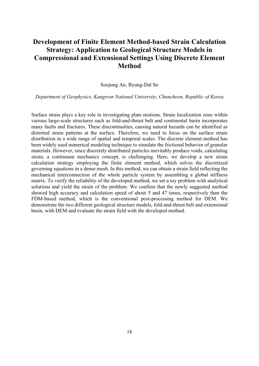# **Development of Finite Element Method-based Strain Calculation Strategy: Application to Geological Structure Models in Compressional and Extensional Settings Using Discrete Element Method**

#### Soojung An, Byung-Dal So

*Department of Geophysics, Kangwon National University, Chuncheon, Republic of Korea*

Surface strain plays a key role in investigating plate motions. Strain localization zone within various large-scale structures such as fold-and-thrust belt and continental basin incorporates many faults and fractures. These discontinuities, causing natural hazards can be identified as distorted strain patterns at the surface. Therefore, we need to focus on the surface strain distribution in a wide range of spatial and temporal scales. The discrete element method has been widely used numerical modeling technique to simulate the frictional behavior of granular materials. However, since discretely distributed particles inevitably produce voids, calculating strain, a continuum mechanics concept, is challenging. Here, we develop a new strain calculation strategy employing the finite element method, which solves the discretized governing equations in a dense mesh. In this method, we can obtain a strain field reflecting the mechanical interconnection of the whole particle system by assembling a global stiffness matrix. To verify the reliability of the developed method, we set a toy problem with analytical solutions and yield the strain of the problem. We confirm that the newly suggested method showed high accuracy and calculation speed of about 5 and 47 times, respectively than the FDM-based method, which is the conventional post-processing method for DEM. We demonstrate the two different geological structure models, fold-and-thrust belt and extensional basin, with DEM and evaluate the strain field with the developed method.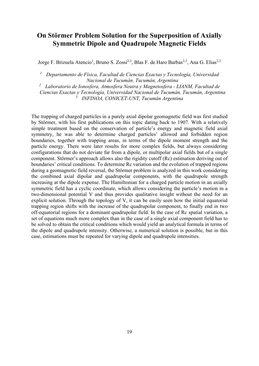# **On Störmer Problem Solution for the Superposition of Axially Symmetric Dipole and Quadrupole Magnetic Fields**

Jorge F. Brizuela Atencio<sup>1</sup>, Bruno S. Zossi<sup>2,3</sup>, Blas F. de Haro Barbas<sup>2,3</sup>, Ana G. Elias<sup>2,3</sup>

*<sup>1</sup> Departamento de Física, Facultad de Ciencias Exactas y Tecnología, Universidad Nacional de Tucumán, Tucumán, Argentina*

*<sup>2</sup> Laboratorio de Ionosfera, Atmosfera Neutra y Magnetosfera - LIANM, Facultad de* 

*Ciencias Exactas y Tecnología, Universidad Nacional de Tucumán, Tucumán, Argentina <sup>3</sup> INFINOA, CONICET-UNT, Tucumán Argentina*

The trapping of charged particles in a purely axial dipolar geomagnetic field was first studied by Störmer, with his first publications on this topic dating back to 1907. With a relatively simple treatment based on the conservation of particle's energy and magnetic field axial symmetry, he was able to determine charged particles' allowed and forbidden region boundaries, together with trapping areas, in terms of the dipole moment strength and the particle energy. There were later results for more complex fields, but always considering configurations that do not deviate far from a dipole, or multipolar axial fields but of a single component. Störmer's approach allows also the rigidity cutoff (Rc) estimation deriving out of boundaries' critical conditions. To determine Rc variation and the evolution of trapped regions during a geomagnetic field reversal, the Störmer problem is analyzed in this work considering the combined axial dipolar and quadrupolar components, with the quadrupole strength increasing at the dipole expense. The Hamiltonian for a charged particle motion in an axially symmetric field has a cyclic coordinate, which allows considering the particle's motion in a two-dimensional potential V and thus provides qualitative insight without the need for an explicit solution. Through the topology of V, it can be easily seen how the initial equatorial trapping region shifts with the increase of the quadrupolar component, to finally end in two off-equatorial regions for a dominant quadrupolar field. In the case of Rc spatial variation, a set of equations much more complex than in the case of a single axial component field has to be solved to obtain the critical conditions which would yield an analytical formula in terms of the dipole and quadrupole intensity. Otherwise, a numerical solution is possible, but in this case, estimations must be repeated for varying dipole and quadrupole intensities.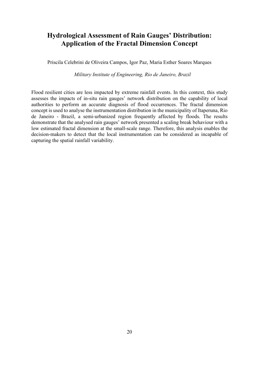# **Hydrological Assessment of Rain Gauges' Distribution: Application of the Fractal Dimension Concept**

Priscila Celebrini de Oliveira Campos, Igor Paz, Maria Esther Soares Marques

*Military Institute of Engineering, Rio de Janeiro, Brazil*

Flood resilient cities are less impacted by extreme rainfall events. In this context, this study assesses the impacts of in-situ rain gauges' network distribution on the capability of local authorities to perform an accurate diagnosis of flood occurrences. The fractal dimension concept is used to analyse the instrumentation distribution in the municipality of Itaperuna, Rio de Janeiro - Brazil, a semi-urbanized region frequently affected by floods. The results demonstrate that the analysed rain gauges' network presented a scaling break behaviour with a low estimated fractal dimension at the small-scale range. Therefore, this analysis enables the decision-makers to detect that the local instrumentation can be considered as incapable of capturing the spatial rainfall variability.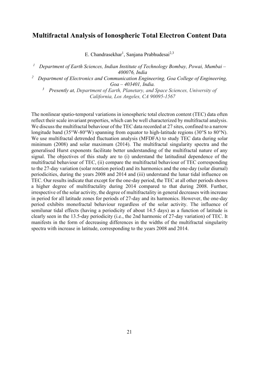## **Multifractal Analysis of Ionospheric Total Electron Content Data**

E. Chandrasekhar<sup>1</sup>, Sanjana Prabhudesai<sup>2,3</sup>

*<sup>1</sup> Department of Earth Sciences, Indian Institute of Technology Bombay, Powai, Mumbai – 400076, India*

*<sup>2</sup> Department of Electronics and Communication Engineering, Goa College of Engineering, Goa – 403401, India.*

*3 Presently at, Department of Earth, Planetary, and Space Sciences, University of California, Los Angeles, CA 90095-1567*

The nonlinear spatio-temporal variations in ionospheric total electron content (TEC) data often reflect their scale invariant properties, which can be well characterized by multifractal analysis. We discuss the multifractal behaviour of the TEC data recorded at 27 sites, confined to a narrow longitude band (35°W-80°W) spanning from equator to high-latitude regions (30°S to 80°N). We use multifractal detrended fluctuation analysis (MFDFA) to study TEC data during solar minimum (2008) and solar maximum (2014). The multifractal singularity spectra and the generalised Hurst exponents facilitate better understanding of the multifractal nature of any signal. The objectives of this study are to (i) understand the latitudinal dependence of the multifractal behaviour of TEC, (ii) compare the multifractal behaviour of TEC corresponding to the 27-day variation (solar rotation period) and its harmonics and the one-day (solar diurnal) periodicities, during the years 2008 and 2014 and (iii) understand the lunar tidal influence on TEC. Our results indicate that except for the one-day period, the TEC at all other periods shows a higher degree of multifractality during 2014 compared to that during 2008. Further, irrespective of the solar activity, the degree of multifractality in general decreases with increase in period for all latitude zones for periods of 27-day and its harmonics. However, the one-day period exhibits monofractal behaviour regardless of the solar activity. The influence of semilunar tidal effects (having a periodicity of about 14.5 days) as a function of latitude is clearly seen in the 13.5-day periodicity (i.e., the 2nd harmonic of 27-day variation) of TEC. It manifests in the form of decreasing differences in the widths of the multifractal singularity spectra with increase in latitude, corresponding to the years 2008 and 2014.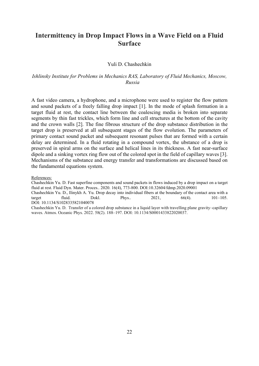## **Intermittency in Drop Impact Flows in a Wave Field on a Fluid Surface**

#### Yuli D. Chashechkin

#### *Ishlinsky Institute for Problems in Mechanics RAS, Laboratory of Fluid Mechanics, Moscow, Russia*

A fast video camera, a hydrophone, and a microphone were used to register the flow pattern and sound packets of a freely falling drop impact [1]. In the mode of splash formation in a target fluid at rest, the contact line between the coalescing media is broken into separate segments by thin fast trickles, which form line and cell structures at the bottom of the cavity and the crown walls [2]. The fine fibrous structure of the drop substance distribution in the target drop is preserved at all subsequent stages of the flow evolution. The parameters of primary contact sound packet and subsequent resonant pulses that are formed with a certain delay are determined. In a fluid rotating in a compound vortex, the ubstance of a drop is preserved in spiral arms on the surface and helical lines in its thickness. A fast near-surface dipole and a sinking vortex ring flow out of the colored spot in the field of capillary waves [3]. Mechanisms of the substance and energy transfer and transformations are discussed based on the fundamental equations system.

References:

Chashechkin Yu. D. Fast superfine components and sound packets in flows induced by a drop impact on a target fluid at rest. Fluid Dyn. Mater. Proces.. 2020. 16(4), 773-800. DOI:10.32604/fdmp.2020.09001

Chashechkin Yu. D., Ilinykh A. Yu. Drop decay into individual fibers at the boundary of the contact area with a target fluid. Dokl. Phys.. 2021, 66(4). 101–105. DOI: 10.1134/S1028335821040078

Chashechkin Yu. D. Transfer of a colored drop substance in a liquid layer with travelling plane gravity–capillary waves. Atmos. Oceanic Phys. 2022. 58(2). 188–197. DOI: 10.1134/S0001433822020037.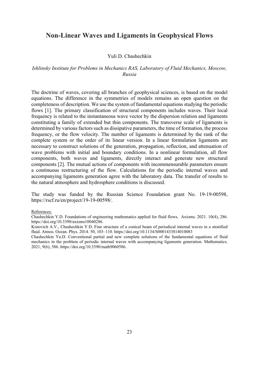### **Non-Linear Waves and Ligaments in Geophysical Flows**

#### Yuli D. Chashechkin

#### *Ishlinsky Institute for Problems in Mechanics RAS, Laboratory of Fluid Mechanics, Moscow, Russia*

The doctrine of waves, covering all branches of geophysical sciences, is based on the model equations. The difference in the symmetries of models remains an open question on the completeness of description. We use the system of fundamental equations studying the periodic flows [1]. The primary classification of structural components includes waves. Their local frequency is related to the instantaneous wave vector by the dispersion relation and ligaments constituting a family of extended but thin components. The transverse scale of ligaments is determined by various factors such as dissipative parameters, the time of formation, the process frequency, or the flow velocity. The number of ligaments is determined by the rank of the complete system or the order of its linear version. In a linear formulation ligaments are necessary to construct solutions of the generation, propagation, reflection, and attenuation of wave problems with initial and boundary conditions. In a nonlinear formulation, all flow components, both waves and ligaments, directly interact and generate new structural components [2]. The mutual actions of components with incommensurable parameters ensure a continuous restructuring of the flow. Calculations for the periodic internal waves and accompanying ligaments generation agree with the laboratory data. The transfer of results to the natural atmosphere and hydrosphere conditions is discussed.

The study was funded by the Russian Science Foundation grant No. 19-19-00598, https://rscf.ru/en/project/19-19-00598/.

#### References:

Chashechkin Y.D. Foundations of engineering mathematics applied for fluid flows. Axioms. 2021. 10(4), 286. https://doi.org/10.3390/axioms10040286.

Kistovich A.V., Chashechkin Y.D. Fine structure of a conical beam of periodical internal waves in a stratified fluid. Atmos. Ocean. Phys. 2014. 50, 103–110. https://doi.org/10.1134/S0001433814010083

Chashechkin Yu.D. Conventional partial and new complete solutions of the fundamental equations of fluid mechanics in the problem of periodic internal waves with accompanying ligaments generation. Mathematics. 2021, 9(6), 586. https://doi.org/10.3390/math9060586.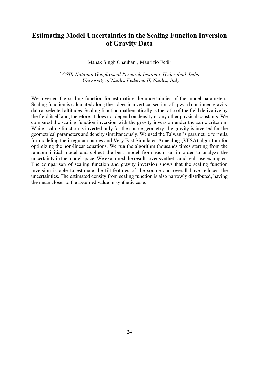# **Estimating Model Uncertainties in the Scaling Function Inversion of Gravity Data**

Mahak Singh Chauhan<sup>1</sup>, Maurizio Fedi<sup>2</sup>

*<sup>1</sup> CSIR-National Geophysical Research Institute, Hyderabad, India <sup>2</sup> University of Naples Federico II, Naples, Italy*

We inverted the scaling function for estimating the uncertainties of the model parameters. Scaling function is calculated along the ridges in a vertical section of upward continued gravity data at selected altitudes. Scaling function mathematically is the ratio of the field derivative by the field itself and, therefore, it does not depend on density or any other physical constants. We compared the scaling function inversion with the gravity inversion under the same criterion. While scaling function is inverted only for the source geometry, the gravity is inverted for the geometrical parameters and density simultaneously. We used the Talwani's parametric formula for modeling the irregular sources and Very Fast Simulated Annealing (VFSA) algorithm for optimizing the non-linear equations. We run the algorithm thousands times starting from the random initial model and collect the best model from each run in order to analyze the uncertainty in the model space. We examined the results over synthetic and real case examples. The comparison of scaling function and gravity inversion shows that the scaling function inversion is able to estimate the tilt-features of the source and overall have reduced the uncertainties. The estimated density from scaling function is also narrowly distributed, having the mean closer to the assumed value in synthetic case.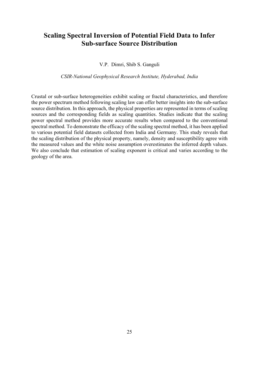# **Scaling Spectral Inversion of Potential Field Data to Infer Sub-surface Source Distribution**

#### V.P. Dimri, Shib S. Ganguli

#### *CSIR-National Geophysical Research Institute, Hyderabad, India*

Crustal or sub-surface heterogeneities exhibit scaling or fractal characteristics, and therefore the power spectrum method following scaling law can offer better insights into the sub-surface source distribution. In this approach, the physical properties are represented in terms of scaling sources and the corresponding fields as scaling quantities. Studies indicate that the scaling power spectral method provides more accurate results when compared to the conventional spectral method. To demonstrate the efficacy of the scaling spectral method, it has been applied to various potential field datasets collected from India and Germany. This study reveals that the scaling distribution of the physical property, namely, density and susceptibility agree with the measured values and the white noise assumption overestimates the inferred depth values. We also conclude that estimation of scaling exponent is critical and varies according to the geology of the area.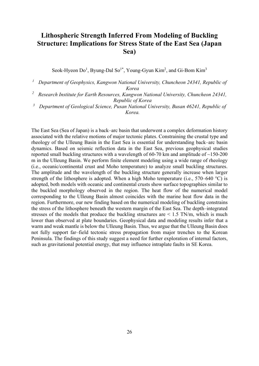# **Lithospheric Strength Inferred From Modeling of Buckling Structure: Implications for Stress State of the East Sea (Japan Sea)**

Seok-Hyeon Do<sup>1</sup>, Byung-Dal So<sup>1\*</sup>, Young-Gyun Kim<sup>2</sup>, and Gi-Bom Kim<sup>3</sup>

*<sup>1</sup> Department of Geophysics, Kangwon National University, Chuncheon 24341, Republic of Korea*

- *<sup>2</sup> Research Institute for Earth Resources, Kangwon National University, Chuncheon 24341, Republic of Korea*
- *<sup>3</sup> Department of Geological Science, Pusan National University, Busan 46241, Republic of Korea.*

The East Sea (Sea of Japan) is a back–arc basin that underwent a complex deformation history associated with the relative motions of major tectonic plates. Constraining the crustal type and rheology of the Ulleung Basin in the East Sea is essential for understanding back–arc basin dynamics. Based on seismic reflection data in the East Sea, previous geophysical studies reported small buckling structures with a wavelength of  $60-70$  km and amplitude of  $\sim$ 150-200 m in the Ulleung Basin. We perform finite element modeling using a wide range of rheology (i.e., oceanic/continental crust and Moho temperature) to analyze small buckling structures. The amplitude and the wavelength of the buckling structure generally increase when larger strength of the lithosphere is adopted. When a high Moho temperature (i.e., 570–640  $^{\circ}$ C) is adopted, both models with oceanic and continental crusts show surface topographies similar to the buckled morphology observed in the region. The heat flow of the numerical model corresponding to the Ulleung Basin almost coincides with the marine heat flow data in the region. Furthermore, our new finding based on the numerical modeling of buckling constrains the stress of the lithosphere beneath the western margin of the East Sea. The depth–integrated stresses of the models that produce the buckling structures are  $\leq 1.5$  TN/m, which is much lower than observed at plate boundaries. Geophysical data and modeling results infer that a warm and weak mantle is below the Ulleung Basin. Thus, we argue that the Ulleung Basin does not fully support far–field tectonic stress propagation from major trenches to the Korean Peninsula. The findings of this study suggest a need for further exploration of internal factors, such as gravitational potential energy, that may influence intraplate faults in SE Korea.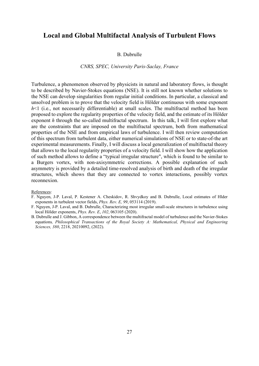### **Local and Global Multifactal Analysis of Turbulent Flows**

#### B. Dubrulle

#### *CNRS, SPEC, University Paris-Saclay, France*

Turbulence, a phenomenon observed by physicists in natural and laboratory flows, is thought to be described by Navier-Stokes equations (NSE). It is still not known whether solutions to the NSE can develop singularities from regular initial conditions. In particular, a classical and unsolved problem is to prove that the velocity field is Hölder continuous with some exponent h <1 (i.e., not necessarily differentiable) at small scales. The multifractal method has been proposed to explore the regularity properties of the velocity field, and the estimate of its Hölder exponent *h* through the so-called multifractal spectrum. In this talk, I will first explore what are the constraints that are imposed on the multifractal spectrum, both from mathematical properties of the NSE and from empirical laws of turbulence. I will then review computation of this spectrum from turbulent data, either numerical simulations of NSE or to state-of-the art experimental measurements. Finally, I will discuss a local generalization of multifractal theory that allows to the local regularity properties of a velocity field. I will show how the application of such method allows to define a "typical irregular structure", which is found to be similar to a Burgers vortex, with non-axisymmetric corrections. A possible explanation of such asymmetry is provided by a detailed time-resolved analysis of birth and death of the irregular structures, which shows that they are connected to vortex interactions, possibly vortex reconnexion.

#### References:

- F. Nguyen, J-P. Laval, P. Kestener A. Cheskidov, R. Shvydkoy and B. Dubrulle, Local estimates of Hlder exponents in turbulent vector fields, *Phys. Rev. E, 99*, 053114 (2019).
- F. Nguyen, J-P. Laval, and B. Dubrulle, Characterizing most irregular small-scale structures in turbulence using local Hölder exponents, *Phys. Rev. E*, *102*, 063105 (2020).
- B. Dubrulle and J. Gibbon, A correspondence between the multifractal model of turbulence and the Navier-Stokes equations*, Philosophical Transactions of the Royal Society A: Mathematical, Physical and Engineering Sciences, 380*, 2218, 20210092, (2022).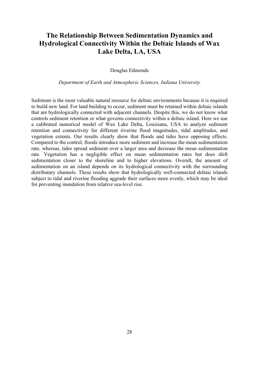# **The Relationship Between Sedimentation Dynamics and Hydrological Connectivity Within the Deltaic Islands of Wax Lake Delta, LA, USA**

Douglas Edmonds

*Department of Earth and Atmospheric Sciences, Indiana University* 

Sediment is the most valuable natural resource for deltaic environments because it is required to build new land. For land building to occur, sediment must be retained within deltaic islands that are hydrologically connected with adjacent channels. Despite this, we do not know what controls sediment retention or what governs connectivity within a deltaic island. Here we use a calibrated numerical model of Wax Lake Delta, Louisiana, USA to analyze sediment retention and connectivity for different riverine flood magnitudes, tidal amplitudes, and vegetation extents. Our results clearly show that floods and tides have opposing effects. Compared to the control, floods introduce more sediment and increase the mean sedimentation rate, whereas, tides spread sediment over a larger area and decrease the mean sedimentation rate. Vegetation has a negligible effect on mean sedimentation rates but does shift sedimentation closer to the shoreline and to higher elevations. Overall, the amount of sedimentation on an island depends on its hydrological connectivity with the surrounding distributary channels. These results show that hydrologically well-connected deltaic islands subject to tidal and riverine flooding aggrade their surfaces more evenly, which may be ideal for preventing inundation from relative sea-level rise.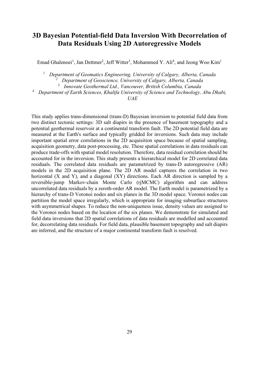# **3D Bayesian Potential-field Data Inversion With Decorrelation of Data Residuals Using 2D Autoregressive Models**

Emad Ghalenoei<sup>1</sup>, Jan Dettmer<sup>2</sup>, Jeff Witter<sup>3</sup>, Mohammed Y. Ali<sup>4</sup>, and Jeong Woo Kim<sup>1</sup>

 *Department of Geomatics Engineering, University of Calgary, Alberta, Canada Department of Geoscience, University of Calgary, Alberta, Canada Innovate Geothermal Ltd., Vancouver, British Columbia, Canada Department of Earth Sciences, Khalifa University of Science and Technology, Abu Dhabi, UAE*

This study applies trans-dimensional (trans-D) Bayesian inversion to potential field data from two distinct tectonic settings: 3D salt diapirs in the presence of basement topography and a potential geothermal reservoir at a continental transform fault. The 2D potential field data are measured at the Earth's surface and typically gridded for inversions. Such data may include important spatial error correlations in the 2D acquisition space because of spatial sampling, acquisition geometry, data post-processing, etc. These spatial correlations in data residuals can produce trade-offs with spatial model resolution. Therefore, data residual correlation should be accounted for in the inversion. This study presents a hierarchical model for 2D correlated data residuals. The correlated data residuals are parametrized by trans-D autoregressive (AR) models in the 2D acquisition plane. The 2D AR model captures the correlation in two horizontal (X and Y), and a diagonal (XY) directions. Each AR direction is sampled by a reversible-jump Markov-chain Monte Carlo (rjMCMC) algorithm and can address uncorrelated data residuals by a zeroth-order AR model. The Earth model is parametrized by a hierarchy of trans-D Voronoi nodes and six planes in the 3D model space. Voronoi nodes can partition the model space irregularly, which is appropriate for imaging subsurface structures with asymmetrical shapes. To reduce the non-uniqueness issue, density values are assigned to the Voronoi nodes based on the location of the six planes. We demonstrate for simulated and field data inversions that 2D spatial correlations of data residuals are modelled and accounted for, decorrelating data residuals. For field data, plausible basement topography and salt diapirs are inferred, and the structure of a major continental transform fault is resolved.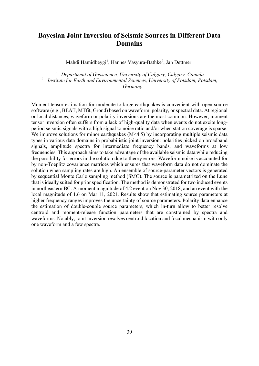# **Bayesian Joint Inversion of Seismic Sources in Different Data Domains**

Mahdi Hamidbeygi<sup>1</sup>, Hannes Vasyura-Bathke<sup>2</sup>, Jan Dettmer<sup>1</sup>

*<sup>1</sup> Department of Geoscience, University of Calgary, Calgary, Canada <sup>2</sup> Institute for Earth and Environmental Sciences, University of Potsdam, Potsdam, Germany*

Moment tensor estimation for moderate to large earthquakes is convenient with open source software (e.g., BEAT, MTfit, Grond) based on waveform, polarity, or spectral data. At regional or local distances, waveform or polarity inversions are the most common. However, moment tensor inversion often suffers from a lack of high-quality data when events do not excite longperiod seismic signals with a high signal to noise ratio and/or when station coverage is sparse. We improve solutions for minor earthquakes (M<4.5) by incorporating multiple seismic data types in various data domains in probabilistic joint inversion: polarities picked on broadband signals, amplitude spectra for intermediate frequency bands, and waveforms at low frequencies. This approach aims to take advantage of the available seismic data while reducing the possibility for errors in the solution due to theory errors. Waveform noise is accounted for by non-Toeplitz covariance matrices which ensures that waveform data do not dominate the solution when sampling rates are high. An ensemble of source-parameter vectors is generated by sequential Monte Carlo sampling method (SMC). The source is parametrized on the Lune that is ideally suited for prior specification. The method is demonstrated for two induced events in northeastern BC. A moment magnitude of 4.2 event on Nov 30, 2018, and an event with the local magnitude of 1.6 on Mar 11, 2021. Results show that estimating source parameters at higher frequency ranges improves the uncertainty of source parameters. Polarity data enhance the estimation of double-couple source parameters, which in-turn allow to better resolve centroid and moment-release function parameters that are constrained by spectra and waveforms. Notably, joint inversion resolves centroid location and focal mechanism with only one waveform and a few spectra.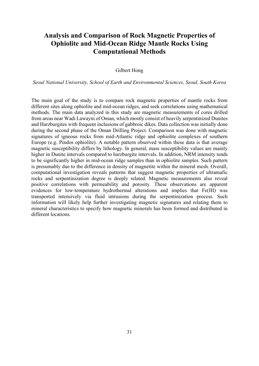# **Analysis and Comparison of Rock Magnetic Properties of Ophiolite and Mid-Ocean Ridge Mantle Rocks Using Computational Methods**

#### Gilbert Hong

*Seoul National University, School of Earth and Environmental Sciences, Seoul, South Korea*

The main goal of the study is to compare rock magnetic properties of mantle rocks from different sites along ophiolite and mid-ocean ridges, and seek correlations using mathematical methods. The main data analyzed in this study are magnetic measurements of cores drilled from areas near Wadi Lawayni of Oman, which mostly consist of heavily serpentinized Dunites and Harzburgites with frequent inclusions of gabbroic dikes. Data collection was initially done during the second phase of the Oman Drilling Project. Comparison was done with magnetic signatures of igneous rocks from mid-Atlantic ridge and ophiolite complexes of southern Europe (e.g. Pindos ophiolite). A notable pattern observed within these data is that average magnetic susceptibility differs by lithology. In general, mass susceptibility values are mainly higher in Dunite intervals compared to harzburgite intervals. In addition, NRM intensity tends to be significantly higher in mid-ocean ridge samples than in ophiolite samples. Such pattern is presumably due to the difference in density of magnetite within the mineral mesh. Overall, computational investigation reveals patterns that suggest magnetic properties of ultramafic rocks and serpentinization degree is deeply related. Magnetic measurements also reveal positive correlations with permeability and porosity. These observations are apparent evidences for low-temperature hydrothermal alterations and implies that Fe(III) was transported intensively via fluid intrusions during the serpentinization process. Such information will likely help further investigating magnetic signatures and relating them to mineral characteristics to specify how magnetic minerals has been formed and distributed in different locations.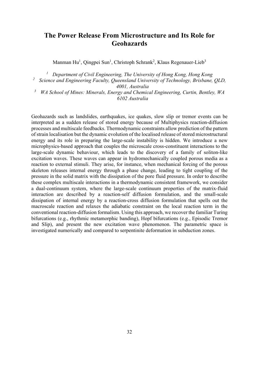## **The Power Release From Microstructure and Its Role for Geohazards**

Manman Hu<sup>1</sup>, Qingpei Sun<sup>1</sup>, Christoph Schrank<sup>2</sup>, Klaus Regenauer-Lieb<sup>3</sup>

*<sup>1</sup> Department of Civil Engineering, The University of Hong Kong, Hong Kong <sup>2</sup> Science and Engineering Faculty, Queensland University of Technology, Brisbane, QLD,* 

*4001, Australia*

*<sup>3</sup> WA School of Mines: Minerals, Energy and Chemical Engineering, Curtin, Bentley, WA 6102 Australia*

Geohazards such as landslides, earthquakes, ice quakes, slow slip or tremor events can be interpreted as a sudden release of stored energy because of Multiphysics reaction-diffusion processes and multiscale feedbacks. Thermodynamic constraints allow prediction of the pattern of strain localisation but the dynamic evolution of the localised release of stored microstructural energy and its role in preparing the large-scale instability is hidden. We introduce a new microphysics-based approach that couples the microscale cross-constituent interactions to the large-scale dynamic behaviour, which leads to the discovery of a family of soliton-like excitation waves. These waves can appear in hydromechanically coupled porous media as a reaction to external stimuli. They arise, for instance, when mechanical forcing of the porous skeleton releases internal energy through a phase change, leading to tight coupling of the pressure in the solid matrix with the dissipation of the pore fluid pressure. In order to describe these complex multiscale interactions in a thermodynamic consistent framework, we consider a dual-continuum system, where the large-scale continuum properties of the matrix-fluid interaction are described by a reaction-self diffusion formulation, and the small-scale dissipation of internal energy by a reaction-cross diffusion formulation that spells out the macroscale reaction and relaxes the adiabatic constraint on the local reaction term in the conventional reaction-diffusion formalism. Using this approach, we recover the familiar Turing bifurcations (e.g., rhythmic metamorphic banding), Hopf bifurcations (e.g., Episodic Tremor and Slip), and present the new excitation wave phenomenon. The parametric space is investigated numerically and compared to serpentinite deformation in subduction zones.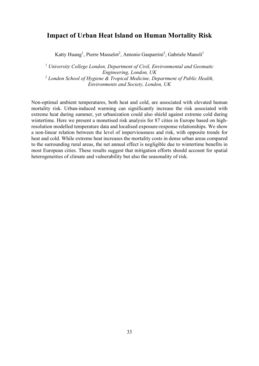### **Impact of Urban Heat Island on Human Mortality Risk**

Katty Huang<sup>1</sup>, Pierre Masselot<sup>2</sup>, Antonio Gasparrini<sup>2</sup>, Gabriele Manoli<sup>1</sup>

*<sup>1</sup> University College London, Department of Civil, Environmental and Geomatic Engineering, London, UK <sup>2</sup> London School of Hygiene & Tropical Medicine, Department of Public Health, Environments and Society, London, UK* 

Non-optimal ambient temperatures, both heat and cold, are associated with elevated human mortality risk. Urban-induced warming can significantly increase the risk associated with extreme heat during summer, yet urbanization could also shield against extreme cold during wintertime. Here we present a monetised risk analysis for 87 cities in Europe based on highresolution modelled temperature data and localised exposure-response relationships. We show a non-linear relation between the level of imperviousness and risk, with opposite trends for heat and cold. While extreme heat increases the mortality costs in dense urban areas compared to the surrounding rural areas, the net annual effect is negligible due to wintertime benefits in most European cities. These results suggest that mitigation efforts should account for spatial heterogeneities of climate and vulnerability but also the seasonality of risk.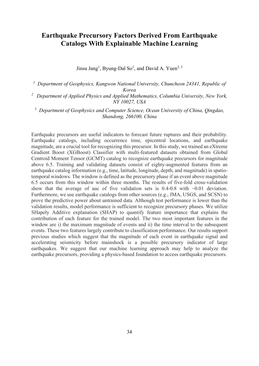# **Earthquake Precursory Factors Derived From Earthquake Catalogs With Explainable Machine Learning**

Jinsu Jang<sup>1</sup>, Byung-Dal So<sup>1</sup>, and David A. Yuen<sup>2, 3</sup>

<sup>1</sup> Department of Geophysics, Kangwon National University, Chuncheon 24341, Republic of *Korea 2 Department of Applied Physics and Applied Mathematics, Columbia University, New York,* 

*NY 10027, USA*

*3 Department of Geophysics and Computer Science, Ocean University of China, Qingdao, Shandong, 266100, China*

Earthquake precursors are useful indicators to forecast future ruptures and their probability. Earthquake catalogs, including occurrence time, epicentral locations, and earthquake magnitude, are a crucial tool for recognizing this precursor. In this study, we trained an eXtreme Gradient Boost (XGBoost) Classifier with multi-featured datasets obtained from Global Centroid Moment Tensor (GCMT) catalog to recognize earthquake precursors for magnitude above 6.5. Training and validating datasets consist of eighty-augmented features from an earthquake catalog information (e.g., time, latitude, longitude, depth, and magnitude) in spatiotemporal windows. The window is defined as the precursory phase if an event above magnitude 6.5 occurs from this window within three months. The results of five-fold cross-validation show that the average of auc of five validation sets is  $0.4$ -0.8 with  $\sim 0.01$  deviation. Furthermore, we use earthquake catalogs from other sources (e.g., JMA, USGS, and SCSN) to prove the predictive power about untrained data. Although test performance is lower than the validation results, model performance is sufficient to recognize precursory phases. We utilize SHapely Additive explanation (SHAP) to quantify feature importance that explains the contribution of each feature for the trained model. The two most important features in the window are i) the maximum magnitude of events and ii) the time interval to the subsequent events. These two features largely contribute to classification performance. Our results support previous studies which suggest that the magnitude of each event in earthquake signal and accelerating seismicity before mainshock is a possible precursory indicator of large earthquakes. We suggest that our machine learning approach may help to analyze the earthquake precursors, providing a physics-based foundation to access earthquake precursors.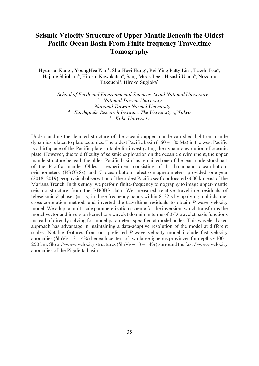# **Seismic Velocity Structure of Upper Mantle Beneath the Oldest Pacific Ocean Basin From Finite-frequency Traveltime Tomography**

Hyunsun Kang<sup>1</sup>, YoungHee Kim<sup>1</sup>, Shu-Huei Hung<sup>2</sup>, Pei-Ying Patty Lin<sup>3</sup>, Takehi Isse<sup>4</sup>, Hajime Shiobara<sup>4</sup>, Hitoshi Kawakatsu<sup>4</sup>, Sang-Mook Lee<sup>1</sup>, Hisashi Utada<sup>4</sup>, Nozomu Takeuchi<sup>4</sup>, Hiroko Sugioka<sup>5</sup>

 *School of Earth and Environmental Sciences, Seoul National University National Taiwan University National Taiwan Normal University Earthquake Research Institute, The University of Tokyo Kobe University*

Understanding the detailed structure of the oceanic upper mantle can shed light on mantle dynamics related to plate tectonics. The oldest Pacific basin  $(160 - 180$  Ma) in the west Pacific is a birthplace of the Pacific plate suitable for investigating the dynamic evolution of oceanic plate. However, due to difficulty of seismic exploration on the oceanic environment, the upper mantle structure beneath the oldest Pacific basin has remained one of the least understood part of the Pacific mantle. Oldest-1 experiment consisting of 11 broadband ocean-bottom seismometers (BBOBSs) and 7 ocean-bottom electro-magnetometers provided one-year (2018–2019) geophysical observation of the oldest Pacific seafloor located ~600 km east of the Mariana Trench. In this study, we perform finite-frequency tomography to image upper-mantle seismic structure from the BBOBS data. We measured relative traveltime residuals of teleseismic *P* phases  $(\pm 1 \text{ s})$  in three frequency bands within 8–32 s by applying multichannel cross-correlation method, and inverted the traveltime residuals to obtain *P*-wave velocity model. We adopt a multiscale parameterization scheme for the inversion, which transforms the model vector and inversion kernel to a wavelet domain in terms of 3-D wavelet basis functions instead of directly solving for model parameters specified at model nodes. This wavelet-based approach has advantage in maintaining a data-adaptive resolution of the model at different scales. Notable features from our preferred *P*-wave velocity model include fast velocity anomalies ( $\delta \ln V_P = 3 - 4\%$ ) beneath centers of two large-igneous provinces for depths  $\sim 100$  – 250 km. Slow *P*-wave velocity structures ( $\delta \ln V_P = -3 - 4\%$ ) surround the fast *P*-wave velocity anomalies of the Pigafetta basin.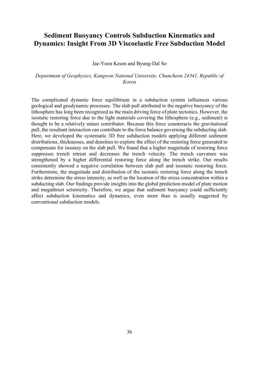# **Sediment Buoyancy Controls Subduction Kinematics and Dynamics: Insight From 3D Viscoelastic Free Subduction Model**

#### Jae-Yoon Keum and Byung-Dal So

#### *Department of Geophysics, Kangwon National University, Chuncheon 24341, Republic of Korea*

The complicated dynamic force equilibrium in a subduction system influences various geological and geodynamic processes. The slab pull attributed to the negative buoyancy of the lithosphere has long been recognized as the main driving force of plate tectonics. However, the isostatic restoring force due to the light materials covering the lithosphere (e.g., sediment) is thought to be a relatively minor contributor. Because this force counteracts the gravitational pull, the resultant interaction can contribute to the force balance governing the subducting slab. Here, we developed the systematic 3D free subduction models applying different sediment distributions, thicknesses, and densities to explore the effect of the restoring force generated to compensate for isostasy on the slab pull. We found that a higher magnitude of restoring force suppresses trench retreat and decreases the trench velocity. The trench curvature was strengthened by a higher differential restoring force along the trench strike. Our results consistently showed a negative correlation between slab pull and isostatic restoring force. Furthermore, the magnitude and distribution of the isostatic restoring force along the trench strike determine the stress intensity, as well as the location of the stress concentration within a subducting slab. Our findings provide insights into the global prediction model of plate motion and megathrust seismicity. Therefore, we argue that sediment buoyancy could sufficiently affect subduction kinematics and dynamics, even more than is usually suggested by conventional subduction models.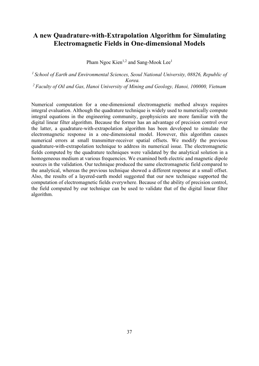# **A new Quadrature-with-Extrapolation Algorithm for Simulating Electromagnetic Fields in One-dimensional Models**

Pham Ngoc Kien<sup>1,2</sup> and Sang-Mook Lee<sup>1</sup>

*1 School of Earth and Environmental Sciences, Seoul National University, 08826, Republic of Korea. 2 Faculty of Oil and Gas, Hanoi University of Mining and Geology, Hanoi, 100000, Vietnam*

Numerical computation for a one-dimensional electromagnetic method always requires integral evaluation. Although the quadrature technique is widely used to numerically compute integral equations in the engineering community, geophysicists are more familiar with the digital linear filter algorithm. Because the former has an advantage of precision control over the latter, a quadrature-with-extrapolation algorithm has been developed to simulate the electromagnetic response in a one-dimensional model. However, this algorithm causes numerical errors at small transmitter-receiver spatial offsets. We modify the previous quadrature-with-extrapolation technique to address its numerical issue. The electromagnetic fields computed by the quadrature techniques were validated by the analytical solution in a homogeneous medium at various frequencies. We examined both electric and magnetic dipole sources in the validation. Our technique produced the same electromagnetic field compared to the analytical, whereas the previous technique showed a different response at a small offset. Also, the results of a layered-earth model suggested that our new technique supported the computation of electromagnetic fields everywhere. Because of the ability of precision control, the field computed by our technique can be used to validate that of the digital linear filter algorithm.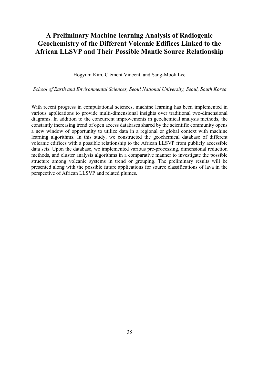# **A Preliminary Machine-learning Analysis of Radiogenic Geochemistry of the Different Volcanic Edifices Linked to the African LLSVP and Their Possible Mantle Source Relationship**

Hogyum Kim, Clément Vincent, and Sang-Mook Lee

*School of Earth and Environmental Sciences, Seoul National University, Seoul, South Korea*

With recent progress in computational sciences, machine learning has been implemented in various applications to provide multi-dimensional insights over traditional two-dimensional diagrams. In addition to the concurrent improvements in geochemical analysis methods, the constantly increasing trend of open access databases shared by the scientific community opens a new window of opportunity to utilize data in a regional or global context with machine learning algorithms. In this study, we constructed the geochemical database of different volcanic edifices with a possible relationship to the African LLSVP from publicly accessible data sets. Upon the database, we implemented various pre-processing, dimensional reduction methods, and cluster analysis algorithms in a comparative manner to investigate the possible structure among volcanic systems in trend or grouping. The preliminary results will be presented along with the possible future applications for source classifications of lava in the perspective of African LLSVP and related plumes.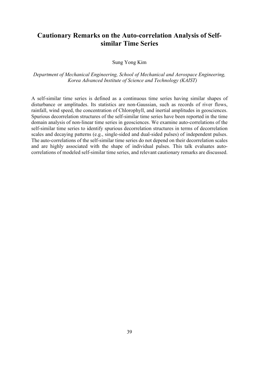### **Cautionary Remarks on the Auto-correlation Analysis of Selfsimilar Time Series**

#### Sung Yong Kim

#### *Department of Mechanical Engineering, School of Mechanical and Aerospace Engineering, Korea Advanced Institute of Science and Technology (KAIST)*

A self-similar time series is defined as a continuous time series having similar shapes of disturbance or amplitudes. Its statistics are non-Gaussian, such as records of river flows, rainfall, wind speed, the concentration of Chlorophyll, and inertial amplitudes in geosciences. Spurious decorrelation structures of the self-similar time series have been reported in the time domain analysis of non-linear time series in geosciences. We examine auto-correlations of the self-similar time series to identify spurious decorrelation structures in terms of decorrelation scales and decaying patterns (e.g., single-sided and dual-sided pulses) of independent pulses. The auto-correlations of the self-similar time series do not depend on their decorrelation scales and are highly associated with the shape of individual pulses. This talk evaluates autocorrelations of modeled self-similar time series, and relevant cautionary remarks are discussed.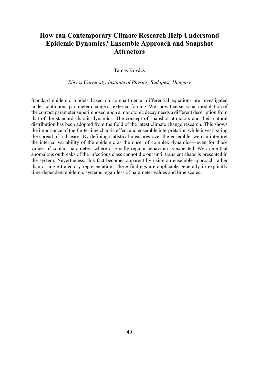# **How can Contemporary Climate Research Help Understand Epidemic Dynamics? Ensemble Approach and Snapshot Attractors**

Tamás Kovács

*Eötvös University, Institute of Physics, Budapest, Hungary*

Standard epidemic models based on compartmental differential equations are investigated under continuous parameter change as external forcing. We show that seasonal modulation of the contact parameter superimposed upon a monotonic decay needs a different description from that of the standard chaotic dynamics. The concept of snapshot attractors and their natural distribution has been adopted from the field of the latest climate change research. This shows the importance of the finite-time chaotic effect and ensemble interpretation while investigating the spread of a disease. By defining statistical measures over the ensemble, we can interpret the internal variability of the epidemic as the onset of complex dynamics—even for those values of contact parameters where originally regular behaviour is expected. We argue that anomalous outbreaks of the infectious class cannot die out until transient chaos is presented in the system. Nevertheless, this fact becomes apparent by using an ensemble approach rather than a single trajectory representation. These findings are applicable generally in explicitly time-dependent epidemic systems regardless of parameter values and time scales.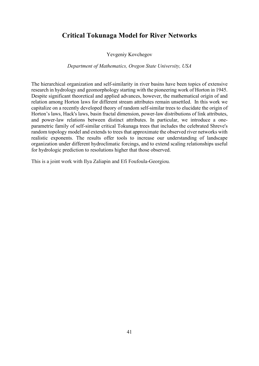### **Critical Tokunaga Model for River Networks**

Yevgeniy Kovchegov

*Department of Mathematics, Oregon State University, USA*

The hierarchical organization and self-similarity in river basins have been topics of extensive research in hydrology and geomorphology starting with the pioneering work of Horton in 1945. Despite significant theoretical and applied advances, however, the mathematical origin of and relation among Horton laws for different stream attributes remain unsettled. In this work we capitalize on a recently developed theory of random self-similar trees to elucidate the origin of Horton's laws, Hack's laws, basin fractal dimension, power-law distributions of link attributes, and power-law relations between distinct attributes. In particular, we introduce a oneparametric family of self-similar critical Tokunaga trees that includes the celebrated Shreve's random topology model and extends to trees that approximate the observed river networks with realistic exponents. The results offer tools to increase our understanding of landscape organization under different hydroclimatic forcings, and to extend scaling relationships useful for hydrologic prediction to resolutions higher that those observed.

This is a joint work with Ilya Zaliapin and Efi Foufoula-Georgiou.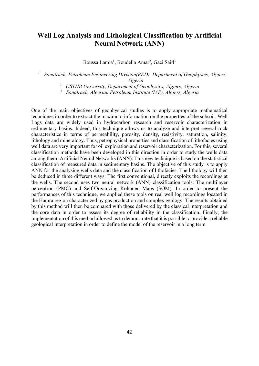# **Well Log Analysis and Lithological Classification by Artificial Neural Network (ANN)**

Boussa Lamia<sup>1</sup>, Boudella Amar<sup>2</sup>, Gaci Said<sup>3</sup>

*<sup>1</sup> Sonatrach, Petroleum Engineering Division(PED), Department of Geophysics, Algiers, Algeria*

*<sup>2</sup> USTHB University, Department of Geophysics, Algiers, Algeria*

*<sup>3</sup> Sonatrach, Algerian Petroleum Institute (IAP), Algiers, Algeria*

One of the main objectives of geophysical studies is to apply appropriate mathematical techniques in order to extract the maximum information on the properties of the subsoil. Well Logs data are widely used in hydrocarbon research and reservoir characterization in sedimentary basins. Indeed, this technique allows us to analyze and interpret several rock characteristics in terms of permeability, porosity, density, resistivity, saturation, salinity, lithology and mineralogy. Thus, petrophysical properties and classification of lithofacies using well data are very important for oil exploration and reservoir characterization. For this, several classification methods have been developed in this direction in order to study the wells data among them: Artificial Neural Networks (ANN). This new technique is based on the statistical classification of measured data in sedimentary basins. The objective of this study is to apply ANN for the analysing wells data and the classification of lithofacies. The lithology will then be deduced in three different ways: The first conventional, directly exploits the recordings at the wells. The second uses two neural network (ANN) classification tools: The multilayer perceptron (PMC) and Self-Organizing Kohonen Maps (SOM). In order to present the performances of this technique, we applied these tools on real well log recordings located in the Hamra region characterized by gas production and complex geology. The results obtained by this method will then be compared with those delivered by the classical interpretation and the core data in order to assess its degree of reliability in the classification. Finally, the implementation of this method allowed us to demonstrate that it is possible to provide a reliable geological interpretation in order to define the model of the reservoir in a long term.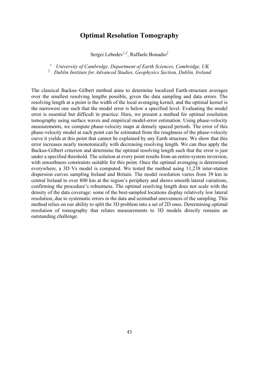### **Optimal Resolution Tomography**

Sergei Lebedev<sup>1,2</sup>, Raffaele Bonadio<sup>2</sup>

*<sup>1</sup> University of Cambridge, Department of Earth Sciences, Cambridge, UK <sup>2</sup> Dublin Institute for Advanced Studies, Geophysics Section, Dublin, Ireland*

The classical Backus–Gilbert method aims to determine localized Earth-structure averages over the smallest resolving lengths possible, given the data sampling and data errors. The resolving length at a point is the width of the local averaging kernel, and the optimal kernel is the narrowest one such that the model error is below a specified level. Evaluating the model error is essential but difficult in practice. Here, we present a method for optimal resolution tomography using surface waves and empirical model-error estimation. Using phase-velocity measurements, we compute phase-velocity maps at densely spaced periods. The error of this phase-velocity model at each point can be estimated from the roughness of the phase-velocity curve it yields at this point that cannot be explained by any Earth structure. We show that this error increases nearly monotonically with decreasing resolving length. We can thus apply the Backus-Gilbert criterion and determine the optimal resolving length such that the error is just under a specified threshold. The solution at every point results from an entire-system inversion, with smoothness constraints suitable for this point. Once the optimal averaging is determined everywhere, a 3D Vs model is computed. We tested the method using 11,238 inter-station dispersion curves sampling Ireland and Britain. The model resolution varies from 39 km in central Ireland to over 800 km at the region's periphery and shows smooth lateral variations, confirming the procedure's robustness. The optimal resolving length does not scale with the density of the data coverage: some of the best-sampled locations display relatively low lateral resolution, due to systematic errors in the data and azimuthal unevenness of the sampling. This method relies on our ability to split the 3D problem into a set of 2D ones. Determining optimal resolution of tomography that relates measurements to 3D models directly remains an outstanding challenge.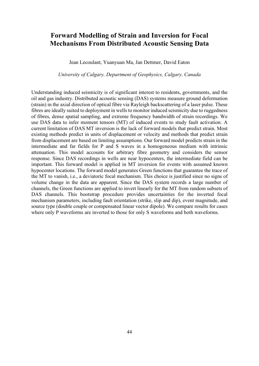## **Forward Modelling of Strain and Inversion for Focal Mechanisms From Distributed Acoustic Sensing Data**

Jean Lecoulant, Yuanyuan Ma, Jan Dettmer, David Eaton

*University of Calgary, Department of Geophysics, Calgary, Canada*

Understanding induced seismicity is of significant interest to residents, governments, and the oil and gas industry. Distributed acoustic sensing (DAS) systems measure ground deformation (strain) in the axial direction of optical fibre via Rayleigh backscattering of a laser pulse. These fibres are ideally suited to deployment in wells to monitor induced seismicity due to ruggedness of fibres, dense spatial sampling, and extreme frequency bandwidth of strain recordings. We use DAS data to infer moment tensors (MT) of induced events to study fault activation. A current limitation of DAS MT inversion is the lack of forward models that predict strain. Most existing methods predict in units of displacement or velocity and methods that predict strain from displacement are based on limiting assumptions. Our forward model predicts strain in the intermediate and far fields for P and S waves in a homogeneous medium with intrinsic attenuation. This model accounts for arbitrary fibre geometry and considers the sensor response. Since DAS recordings in wells are near hypocenters, the intermediate field can be important. This forward model is applied in MT inversion for events with assumed known hypocenter locations. The forward model generates Green functions that guarantee the trace of the MT to vanish, i.e., a deviatoric focal mechanism. This choice is justified since no signs of volume change in the data are apparent. Since the DAS system records a large number of channels, the Green functions are applied to invert linearly for the MT from random subsets of DAS channels. This bootstrap procedure provides uncertainties for the inverted focal mechanism parameters, including fault orientation (strike, slip and dip), event magnitude, and source type (double couple or compensated linear vector dipole). We compare results for cases where only P waveforms are inverted to those for only S waveforms and both waveforms.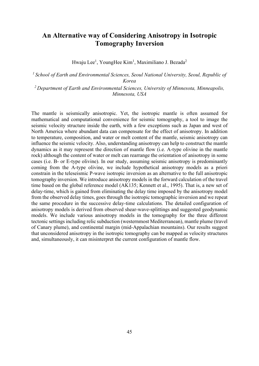# **An Alternative way of Considering Anisotropy in Isotropic Tomography Inversion**

Hwaju Lee<sup>1</sup>, YoungHee Kim<sup>1</sup>, Maximiliano J. Bezada<sup>2</sup>

*1 School of Earth and Environmental Sciences, Seoul National University, Seoul, Republic of Korea*

*2 Department of Earth and Environmental Sciences, University of Minnesota, Minneapolis, Minnesota, USA*

The mantle is seismically anisotropic. Yet, the isotropic mantle is often assumed for mathematical and computational convenience for seismic tomography, a tool to image the seismic velocity structure inside the earth, with a few exceptions such as Japan and west of North America where abundant data can compensate for the effect of anisotropy. In addition to temperature, composition, and water or melt content of the mantle, seismic anisotropy can influence the seismic velocity. Also, understanding anisotropy can help to construct the mantle dynamics as it may represent the direction of mantle flow (i.e. A-type olivine in the mantle rock) although the content of water or melt can rearrange the orientation of anisotropy in some cases (i.e. B- or E-type olivine). In our study, assuming seismic anisotropy is predominantly coming from the A-type olivine, we include hypothetical anisotropy models as a priori constrain in the teleseismic P-wave isotropic inversion as an alternative to the full anisotropic tomography inversion. We introduce anisotropy models in the forward calculation of the travel time based on the global reference model (AK135; Kennett et al., 1995). That is, a new set of delay-time, which is gained from eliminating the delay time imposed by the anisotropy model from the observed delay times, goes through the isotropic tomographic inversion and we repeat the same procedure in the successive delay-time calculations. The detailed configuration of anisotropy models is derived from observed shear-wave-splittings and suggested geodynamic models. We include various anisotropy models in the tomography for the three different tectonic settings including relic subduction (westernmost Mediterranean), mantle plume (travel of Canary plume), and continental margin (mid-Appalachian mountains). Our results suggest that unconsidered anisotropy in the isotropic tomography can be mapped as velocity structures and, simultaneously, it can misinterpret the current configuration of mantle flow.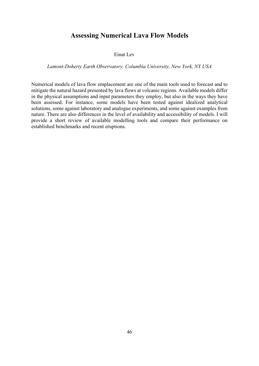### **Assessing Numerical Lava Flow Models**

#### Einat Lev

#### *Lamont-Doherty Earth Observatory, Columbia University, New York, NY USA*

Numerical models of lava flow emplacement are one of the main tools used to forecast and to mitigate the natural hazard presented by lava flows at volcanic regions. Available models differ in the physical assumptions and input parameters they employ, but also in the ways they have been assessed. For instance, some models have been tested against idealized analytical solutions, some against laboratory and analogue experiments, and some against examples from nature. There are also differences in the level of availability and accessibility of models. I will provide a short review of available modelling tools and compare their performance on established benchmarks and recent eruptions.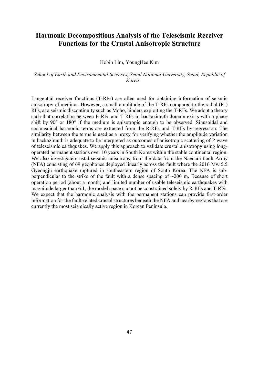### **Harmonic Decompositions Analysis of the Teleseismic Receiver Functions for the Crustal Anisotropic Structure**

#### Hobin Lim, YoungHee Kim

#### *School of Earth and Environmental Sciences, Seoul National University, Seoul, Republic of Korea*

Tangential receiver functions (T-RFs) are often used for obtaining information of seismic anisotropy of medium. However, a small amplitude of the T-RFs compared to the radial (R-) RFs, at a seismic discontinuity such as Moho, hinders exploiting the T-RFs. We adopt a theory such that correlation between R-RFs and T-RFs in backazimuth domain exists with a phase shift by 90° or 180° if the medium is anisotropic enough to be observed. Sinusoidal and cosinusoidal harmonic terms are extracted from the R-RFs and T-RFs by regression. The similarity between the terms is used as a proxy for verifying whether the amplitude variation in backazimuth is adequate to be interpreted as outcomes of anisotropic scattering of P wave of teleseismic earthquakes. We apply this approach to validate crustal anisotropy using longoperated permanent stations over 10 years in South Korea within the stable continental region. We also investigate crustal seismic anisotropy from the data from the Naenam Fault Array (NFA) consisting of 69 geophones deployed linearly across the fault where the 2016 Mw 5.5 Gyeongju earthquake ruptured in southeastern region of South Korea. The NFA is subperpendicular to the strike of the fault with a dense spacing of  $\sim$ 200 m. Because of short operation period (about a month) and limited number of usable teleseismic earthquakes with magnitude larger than 6.1, the model space cannot be constrained solely by R-RFs and T-RFs. We expect that the harmonic analysis with the permanent stations can provide first-order information for the fault-related crustal structures beneath the NFA and nearby regions that are currently the most seismically active region in Korean Peninsula.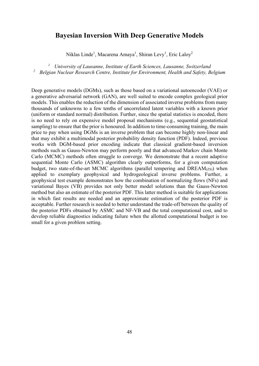### **Bayesian Inversion With Deep Generative Models**

Niklas Linde<sup>1</sup>, Macarena Amaya<sup>1</sup>, Shiran Levy<sup>1</sup>, Eric Laloy<sup>2</sup>

*<sup>1</sup> University of Lausanne, Institute of Earth Sciences, Lausanne, Switzerland <sup>2</sup> Belgian Nuclear Research Centre, Institute for Environment, Health and Safety, Belgium*

Deep generative models (DGMs), such as those based on a variational autoencoder (VAE) or a generative adversarial network (GAN), are well suited to encode complex geological prior models. This enables the reduction of the dimension of associated inverse problems from many thousands of unknowns to a few tenths of uncorrelated latent variables with a known prior (uniform or standard normal) distribution. Further, since the spatial statistics is encoded, there is no need to rely on expensive model proposal mechanisms (e.g., sequential geostatistical sampling) to ensure that the prior is honoured. In addition to time-consuming training, the main price to pay when using DGMs is an inverse problem that can become highly non-linear and that may exhibit a multimodal posterior probability density function (PDF). Indeed, previous works with DGM-based prior encoding indicate that classical gradient-based inversion methods such as Gauss-Newton may perform poorly and that advanced Markov chain Monte Carlo (MCMC) methods often struggle to converge. We demonstrate that a recent adaptive sequential Monte Carlo (ASMC) algorithm clearly outperforms, for a given computation budget, two state-of-the-art MCMC algorithms (parallel tempering and  $DREAM<sub>(ZS)</sub>$ ) when applied to exemplary geophysical and hydrogeological inverse problems. Further, a geophysical test example demonstrates how the combination of normalizing flows (NFs) and variational Bayes (VB) provides not only better model solutions than the Gauss-Newton method but also an estimate of the posterior PDF. This latter method is suitable for applications in which fast results are needed and an approximate estimation of the posterior PDF is acceptable. Further research is needed to better understand the trade-off between the quality of the posterior PDFs obtained by ASMC and NF-VB and the total computational cost, and to develop reliable diagnostics indicating failure when the allotted computational budget is too small for a given problem setting.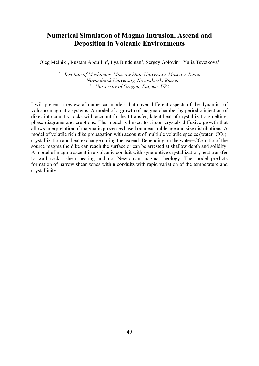# **Numerical Simulation of Magma Intrusion, Ascend and Deposition in Volcanic Environments**

Oleg Melnik<sup>1</sup>, Rustam Abdullin<sup>2</sup>, Ilya Bindeman<sup>3</sup>, Sergey Golovin<sup>2</sup>, Yulia Tsvetkova<sup>1</sup>

*<sup>1</sup> Institute of Mechanics, Moscow State University, Moscow, Russa <sup>2</sup> Novosibirsk University, Novosibirsk, Russia <sup>3</sup> University of Oregon, Eugene, USA*

I will present a review of numerical models that cover different aspects of the dynamics of volcano-magmatic systems. A model of a growth of magma chamber by periodic injection of dikes into country rocks with account for heat transfer, latent heat of crystallization/melting, phase diagrams and eruptions. The model is linked to zircon crystals diffusive growth that allows interpretation of magmatic processes based on measurable age and size distributions. A model of volatile rich dike propagation with account of multiple volatile species (water+ $CO<sub>2</sub>$ ), crystallization and heat exchange during the ascend. Depending on the water+ $CO<sub>2</sub>$  ratio of the source magma the dike can reach the surface or can be arrested at shallow depth and solidify. A model of magma ascent in a volcanic conduit with syneruptive crystallization, heat transfer to wall rocks, shear heating and non-Newtonian magma rheology. The model predicts formation of narrow shear zones within conduits with rapid variation of the temperature and crystallinity.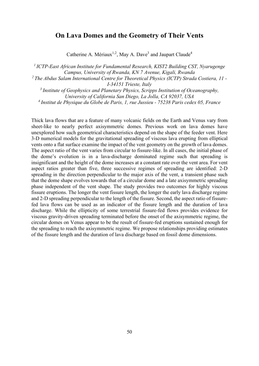### **On Lava Domes and the Geometry of Their Vents**

Catherine A. Mériaux<sup>1,2</sup>, May A. Dave<sup>3</sup> and Jaupart Claude<sup>4</sup>

*1 ICTP-East African Institute for Fundamental Research, KIST2 Building CST, Nyarugenge Campus, University of Rwanda, KN 7 Avenue, Kigali, Rwanda 2 The Abdus Salam International Centre for Theoretical Physics (ICTP) Strada Costiera, 11 - I-34151 Trieste, Italy 3 Institute of Geophysics and Planetary Physics, Scripps Institution of Oceanography,* 

*University of California San Diego, La Jolla, CA 92037, USA 4 Institut de Physique du Globe de Paris, 1, rue Jussieu - 75238 Paris cedex 05, France* 

Thick lava flows that are a feature of many volcanic fields on the Earth and Venus vary from sheet-like to nearly perfect axisymmetric domes. Previous work on lava domes have unexplored how such geometrical characteristics depend on the shape of the feeder vent. Here 3-D numerical models for the gravitational spreading of viscous lava erupting from elliptical vents onto a flat surface examine the impact of the vent geometry on the growth of lava domes. The aspect ratio of the vent varies from circular to fissure-like. In all cases, the initial phase of the dome's evolution is in a lava-discharge dominated regime such that spreading is insignificant and the height of the dome increases at a constant rate over the vent area. For vent aspect ratios greater than five, three successive regimes of spreading are identified: 2-D spreading in the direction perpendicular to the major axis of the vent, a transient phase such that the dome shape evolves towards that of a circular dome and a late axisymmetric spreading phase independent of the vent shape. The study provides two outcomes for highly viscous fissure eruptions. The longer the vent fissure length, the longer the early lava discharge regime and 2-D spreading perpendicular to the length of the fissure. Second, the aspect ratio of fissurefed lava flows can be used as an indicator of the fissure length and the duration of lava discharge. While the ellipticity of some terrestrial fissure-fed flows provides evidence for viscous gravity-driven spreading terminated before the onset of the axisymmetric regime, the circular domes on Venus appear to be the result of fissure-fed eruptions sustained enough for the spreading to reach the axisymmetric regime. We propose relationships providing estimates of the fissure length and the duration of lava discharge based on fossil dome dimensions.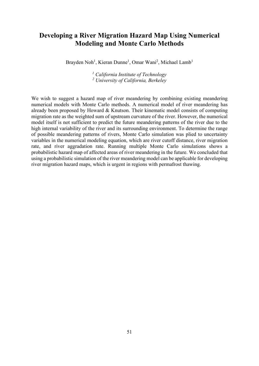### **Developing a River Migration Hazard Map Using Numerical Modeling and Monte Carlo Methods**

Brayden Noh<sup>1</sup>, Kieran Dunne<sup>1</sup>, Omar Wani<sup>2</sup>, Michael Lamb<sup>1</sup>

*<sup>1</sup> California Institute of Technology <sup>2</sup> University of California, Berkeley*

We wish to suggest a hazard map of river meandering by combining existing meandering numerical models with Monte Carlo methods. A numerical model of river meandering has already been proposed by Howard & Knutson. Their kinematic model consists of computing migration rate as the weighted sum of upstream curvature of the river. However, the numerical model itself is not sufficient to predict the future meandering patterns of the river due to the high internal variability of the river and its surrounding environment. To determine the range of possible meandering patterns of rivers, Monte Carlo simulation was plied to uncertainty variables in the numerical modeling equation, which are river cutoff distance, river migration rate, and river aggradation rate. Running multiple Monte Carlo simulations shows a probabilistic hazard map of affected areas of river meandering in the future. We concluded that using a probabilistic simulation of the river meandering model can be applicable for developing river migration hazard maps, which is urgent in regions with permafrost thawing.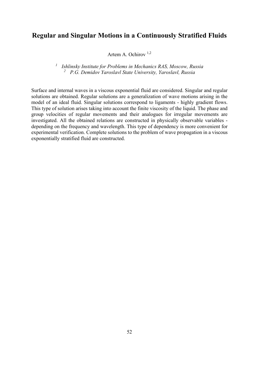### **Regular and Singular Motions in a Continuously Stratified Fluids**

Artem A. Ochirov 1,2

*<sup>1</sup> Ishlinsky Institute for Problems in Mechanics RAS, Moscow, Russia <sup>2</sup> P.G. Demidov Yaroslavl State University, Yaroslavl, Russia*

Surface and internal waves in a viscous exponential fluid are considered. Singular and regular solutions are obtained. Regular solutions are a generalization of wave motions arising in the model of an ideal fluid. Singular solutions correspond to ligaments - highly gradient flows. This type of solution arises taking into account the finite viscosity of the liquid. The phase and group velocities of regular movements and their analogues for irregular movements are investigated. All the obtained relations are constructed in physically observable variables depending on the frequency and wavelength. This type of dependency is more convenient for experimental verification. Complete solutions to the problem of wave propagation in a viscous exponentially stratified fluid are constructed.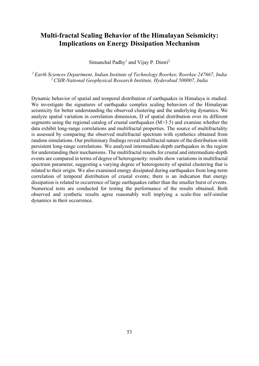# **Multi-fractal Scaling Behavior of the Himalayan Seismicity: Implications on Energy Dissipation Mechanism**

Simanchal Padhy<sup>1</sup> and Vijay P. Dimri<sup>2</sup>

*1 Earth Sciences Department, Indian Institute of Technology Roorkee, Roorkee 247667, India 2 CSIR-National Geophysical Research Institute, Hyderabad 500007, India*

Dynamic behavior of spatial and temporal distribution of earthquakes in Himalaya is studied. We investigate the signatures of earthquake complex scaling behaviors of the Himalayan seismicity for better understanding the observed clustering and the underlying dynamics. We analyze spatial variation in correlation dimension, D of spatial distribution over its different segments using the regional catalog of crustal earthquakes (M>3.5) and examine whether the data exhibit long-range correlations and multifractal properties. The source of multifractality is assessed by comparing the observed multifractal spectrum with synthetics obtained from random simulations. Our preliminary findings reveal multifractal nature of the distribution with persistent long-range correlations. We analyzed intermediate-depth earthquakes in the region for understanding their mechanisms. The multifractal results for crustal and intermediate-depth events are compared in terms of degree of heterogeneity: results show variations in multifractal spectrum parameter, suggesting a varying degree of heterogeneity of spatial clustering that is related to their origin. We also examined energy dissipated during earthquakes from long-term correlation of temporal distribution of crustal events; there is an indication that energy dissipation is related to occurrence of large earthquakes rather than the smaller burst of events. Numerical tests are conducted for testing the performance of the results obtained. Both observed and synthetic results agree reasonably well implying a scale-free self-similar dynamics in their occurrence.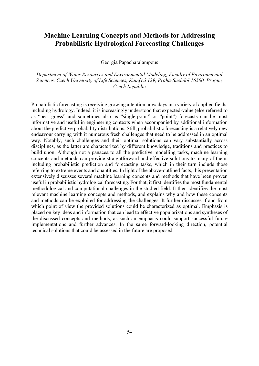## **Machine Learning Concepts and Methods for Addressing Probabilistic Hydrological Forecasting Challenges**

Georgia Papacharalampous

*Department of Water Resources and Environmental Modeling, Faculty of Environmental Sciences, Czech University of Life Sciences, Kamýcá 129, Praha-Suchdol 16500, Prague, Czech Republic*

Probabilistic forecasting is receiving growing attention nowadays in a variety of applied fields, including hydrology. Indeed, it is increasingly understood that expected-value (else referred to as "best guess" and sometimes also as "single-point" or "point") forecasts can be most informative and useful in engineering contexts when accompanied by additional information about the predictive probability distributions. Still, probabilistic forecasting is a relatively new endeavour carrying with it numerous fresh challenges that need to be addressed in an optimal way. Notably, such challenges and their optimal solutions can vary substantially across disciplines, as the latter are characterized by different knowledge, traditions and practices to build upon. Although not a panacea to all the predictive modelling tasks, machine learning concepts and methods can provide straightforward and effective solutions to many of them, including probabilistic prediction and forecasting tasks, which in their turn include those referring to extreme events and quantities. In light of the above-outlined facts, this presentation extensively discusses several machine learning concepts and methods that have been proven useful in probabilistic hydrological forecasting. For that, it first identifies the most fundamental methodological and computational challenges in the studied field. It then identifies the most relevant machine learning concepts and methods, and explains why and how these concepts and methods can be exploited for addressing the challenges. It further discusses if and from which point of view the provided solutions could be characterized as optimal. Emphasis is placed on key ideas and information that can lead to effective popularizations and syntheses of the discussed concepts and methods, as such an emphasis could support successful future implementations and further advances. In the same forward-looking direction, potential technical solutions that could be assessed in the future are proposed.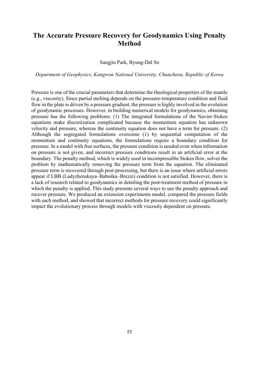# **The Accurate Pressure Recovery for Geodynamics Using Penalty Method**

Sangjin Park, Byung-Dal So

*Department of Geophysics, Kangwon National University, Chuncheon, Republic of Korea*

Pressure is one of the crucial parameters that determine the rheological properties of the mantle (e.g., viscosity). Since partial melting depends on the pressure-temperature condition and fluid flow in the plate is driven by a pressure gradient, the pressure is highly involved in the evolution of geodynamic processes. However, in building numerical models for geodynamics, obtaining pressure has the following problems: (1) The integrated formulations of the Navier-Stokes equations make discretization complicated because the momentum equation has unknown velocity and pressure, whereas the continuity equation does not have a term for pressure. (2) Although the segregated formulations overcome (1) by sequential computation of the momentum and continuity equations, the formulations require a boundary condition for pressure. In a model with free surfaces, the pressure condition is needed even when information on pressure is not given, and incorrect pressure conditions result in an artificial error at the boundary. The penalty method, which is widely used in incompressible Stokes flow, solves the problem by mathematically removing the pressure term from the equation. The eliminated pressure term is recovered through post-processing, but there is an issue where artificial errors appear if LBB (Ladyzhenskaya–Babuška–Brezzi) condition is not satisfied. However, there is a lack of research related to geodynamics in detailing the post-treatment method of pressure in which the penalty is applied. This study presents several ways to use the penalty approach and recover pressure. We produced an extension experiments model, compared the pressure fields with each method, and showed that incorrect methods for pressure recovery could significantly impact the evolutionary process through models with viscosity dependent on pressure.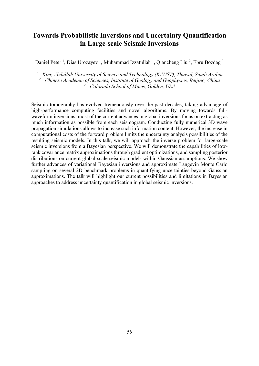## **Towards Probabilistic Inversions and Uncertainty Quantification in Large-scale Seismic Inversions**

Daniel Peter<sup>1</sup>, Dias Urozayev<sup>1</sup>, Muhammad Izzatullah<sup>1</sup>, Qiancheng Liu<sup>2</sup>, Ebru Bozdag<sup>3</sup>

*<sup>1</sup> King Abdullah University of Science and Technology (KAUST), Thuwal, Saudi Arabia <sup>2</sup> Chinese Academic of Sciences, Institute of Geology and Geophysics, Beijing, China*

*<sup>2</sup> Colorado School of Mines, Golden, USA*

Seismic tomography has evolved tremendously over the past decades, taking advantage of high-performance computing facilities and novel algorithms. By moving towards fullwaveform inversions, most of the current advances in global inversions focus on extracting as much information as possible from each seismogram. Conducting fully numerical 3D wave propagation simulations allows to increase such information content. However, the increase in computational costs of the forward problem limits the uncertainty analysis possibilities of the resulting seismic models. In this talk, we will approach the inverse problem for large-scale seismic inversions from a Bayesian perspective. We will demonstrate the capabilities of lowrank covariance matrix approximations through gradient optimizations, and sampling posterior distributions on current global-scale seismic models within Gaussian assumptions. We show further advances of variational Bayesian inversions and approximate Langevin Monte Carlo sampling on several 2D benchmark problems in quantifying uncertainties beyond Gaussian approximations. The talk will highlight our current possibilities and limitations in Bayesian approaches to address uncertainty quantification in global seismic inversions.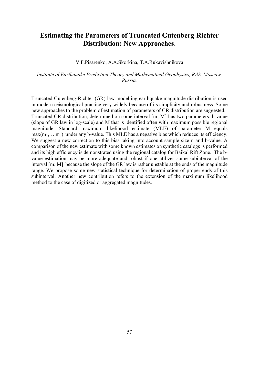### **Estimating the Parameters of Truncated Gutenberg-Richter Distribution: New Approaches.**

#### V.F.Pisarenko, A.A.Skorkina, T.A.Rukavishnikova

#### *Institute of Earthquake Prediction Theory and Mathematical Geophysics, RAS, Moscow, Russia.*

Truncated Gutenberg-Richter (GR) law modelling earthquake magnitude distribution is used in modern seismological practice very widely because of its simplicity and robustness. Some new approaches to the problem of estimation of parameters of GR distribution are suggested. Truncated GR distribution, determined on some interval [m; M] has two parameters: b-value (slope of GR law in log-scale) and M that is identified often with maximum possible regional magnitude. Standard maximum likelihood estimate (MLE) of parameter M equals  $max(m_1,...,m_n)$  under any b-value. This MLE has a negative bias which reduces its efficiency. We suggest a new correction to this bias taking into account sample size n and b-value. A comparison of the new estimate with some known estimates on synthetic catalogs is performed and its high efficiency is demonstrated using the regional catalog for Baikal Rift Zone. The bvalue estimation may be more adequate and robust if one utilizes some subinterval of the interval [m; M] because the slope of the GR law is rather unstable at the ends of the magnitude range. We propose some new statistical technique for determination of proper ends of this subinterval. Another new contribution refers to the extension of the maximum likelihood method to the case of digitized or aggregated magnitudes.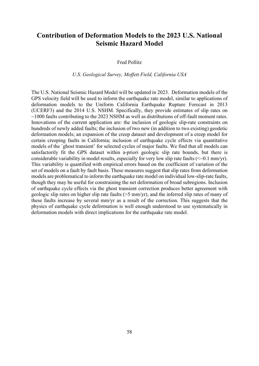### **Contribution of Deformation Models to the 2023 U.S. National Seismic Hazard Model**

Fred Pollitz

#### *U.S. Geological Survey, Moffett Field, California USA*

The U.S. National Seismic Hazard Model will be updated in 2023. Deformation models of the GPS velocity field will be used to inform the earthquake rate model, similar to applications of deformation models to the Uniform California Earthquake Rupture Forecast in 2013 (UCERF3) and the 2014 U.S. NSHM. Specifically, they provide estimates of slip rates on  $\sim$ 1000 faults contributing to the 2023 NSHM as well as distributions of off-fault moment rates. Innovations of the current application are: the inclusion of geologic slip-rate constraints on hundreds of newly added faults; the inclusion of two new (in addition to two existing) geodetic deformation models; an expansion of the creep dataset and development of a creep model for certain creeping faults in California; inclusion of earthquake cycle effects via quantitative models of the `ghost transient' for selected cycles of major faults. We find that all models can satisfactorily fit the GPS dataset within a-priori geologic slip rate bounds, but there is considerable variability in model results, especially for very low slip rate faults  $(<0.1 \text{ mm/yr})$ . This variability is quantified with empirical errors based on the coefficient of variation of the set of models on a fault by fault basis. These measures suggest that slip rates from deformation models are problematical to inform the earthquake rate model on individual low-slip-rate faults, though they may be useful for constraining the net deformation of broad subregions. Inclusion of earthquake cycle effects via the ghost transient correction produces better agreement with geologic slip rates on higher slip rate faults (>5 mm/yr), and the inferred slip rates of many of these faults increase by several mm/yr as a result of the correction. This suggests that the physics of earthquake cycle deformation is well enough understood to use systematically in deformation models with direct implications for the earthquake rate model.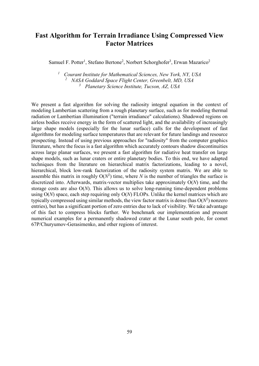# **Fast Algorithm for Terrain Irradiance Using Compressed View Factor Matrices**

Samuel F. Potter<sup>1</sup>, Stefano Bertone<sup>2</sup>, Norbert Schorghofer<sup>3</sup>, Erwan Mazarico<sup>2</sup>

*<sup>1</sup> Courant Institute for Mathematical Sciences, New York, NY, USA <sup>2</sup> NASA Goddard Space Flight Center, Greenbelt, MD, USA <sup>3</sup> Planetary Science Institute, Tucson, AZ, USA*

We present a fast algorithm for solving the radiosity integral equation in the context of modeling Lambertian scattering from a rough planetary surface, such as for modeling thermal radiation or Lambertian illumination ("terrain irradiance" calculations). Shadowed regions on airless bodies receive energy in the form of scattered light, and the availability of increasingly large shape models (especially for the lunar surface) calls for the development of fast algorithms for modeling surface temperatures that are relevant for future landings and resource prospecting. Instead of using previous approaches for "radiosity" from the computer graphics literature, where the focus is a fast algorithm which accurately contours shadow discontinuities across large planar surfaces, we present a fast algorithm for radiative heat transfer on large shape models, such as lunar craters or entire planetary bodies. To this end, we have adapted techniques from the literature on hierarchical matrix factorizations, leading to a novel, hierarchical, block low-rank factorization of the radiosity system matrix. We are able to assemble this matrix in roughly  $O(N^2)$  time, where *N* is the number of triangles the surface is discretized into. Afterwards, matrix-vector multiplies take approximately O(*N*) time, and the storage costs are also O(*N*). This allows us to solve long-running time-dependent problems using O(*N*) space, each step requiring only O(*N*) FLOPs. Unlike the kernel matrices which are typically compressed using similar methods, the view factor matrix is dense (has  $O(N^2)$  nonzero entries), but has a significant portion of zero entries due to lack of visibility. We take advantage of this fact to compress blocks further. We benchmark our implementation and present numerical examples for a permanently shadowed crater at the Lunar south pole, for comet 67P/Churyumov-Gerasimenko, and other regions of interest.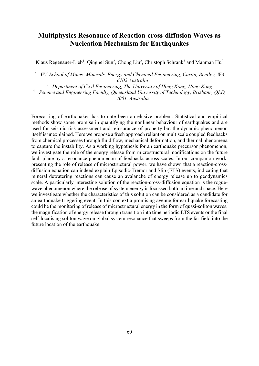# **Multiphysics Resonance of Reaction-cross-diffusion Waves as Nucleation Mechanism for Earthquakes**

Klaus Regenauer-Lieb<sup>1</sup>, Qingpei Sun<sup>2</sup>, Chong Liu<sup>2</sup>, Christoph Schrank<sup>3</sup> and Manman Hu<sup>2</sup>

*<sup>1</sup> WA School of Mines: Minerals, Energy and Chemical Engineering, Curtin, Bentley, WA 6102 Australia*

*2 Department of Civil Engineering, The University of Hong Kong, Hong Kong*

*<sup>3</sup> Science and Engineering Faculty, Queensland University of Technology, Brisbane, QLD, 4001, Australia*

Forecasting of earthquakes has to date been an elusive problem. Statistical and empirical methods show some promise in quantifying the nonlinear behaviour of earthquakes and are used for seismic risk assessment and reinsurance of property but the dynamic phenomenon itself is unexplained. Here we propose a fresh approach reliant on multiscale coupled feedbacks from chemical processes through fluid flow, mechanical deformation, and thermal phenomena to capture the instability. As a working hypothesis for an earthquake precursor phenomenon, we investigate the role of the energy release from microstructural modifications on the future fault plane by a resonance phenomenon of feedbacks across scales. In our companion work, presenting the role of release of microstructural power, we have shown that a reaction-crossdiffusion equation can indeed explain Episodic-Tremor and Slip (ETS) events, indicating that mineral dewatering reactions can cause an avalanche of energy release up to geodynamics scale. A particularly interesting solution of the reaction-cross-diffusion equation is the roguewave phenomenon where the release of system energy is focussed both in time and space. Here we investigate whether the characteristics of this solution can be considered as a candidate for an earthquake triggering event. In this context a promising avenue for earthquake forecasting could be the monitoring of release of microstructural energy in the form of quasi-soliton waves, the magnification of energy release through transition into time periodic ETS events or the final self-localising soliton wave on global system resonance that sweeps from the far-field into the future location of the earthquake.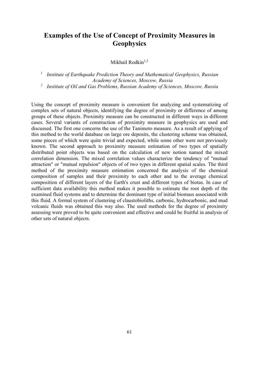## **Examples of the Use of Concept of Proximity Measures in Geophysics**

Mikhail Rodkin $1,2$ 

*<sup>1</sup> Institute of Earthquake Prediction Theory and Mathematical Geophysics, Russian Academy of Sciences, Moscow, Russia <sup>2</sup> Institute of Oil and Gas Problems, Russian Academy of Sciences, Moscow, Russia*

Using the concept of proximity measure is convenient for analyzing and systematizing of complex sets of natural objects, identifying the degree of proximity or difference of among groups of these objects. Proximity measure can be constructed in different ways in different cases. Several variants of construction of proximity measure in geophysics are used and discussed. The first one concerns the use of the Tanimoto measure. As a result of applying of this method to the world database on large ore deposits, the clustering scheme was obtained, some pieces of which were quite trivial and expected, while some other were not previously known. The second approach to proximity measure estimation of two types of spatially distributed point objects was based on the calculation of new notion named the mixed correlation dimension. The mixed correlation values characterize the tendency of "mutual attraction" or "mutual repulsion" objects of of two types in different spatial scales. The third method of the proximity measure estimation concerned the analysis of the chemical composition of samples and their proximity to each other and to the average chemical composition of different layers of the Earth's crust and different types of biotas. In case of sufficient data availability this method makes it possible to estimate the root depth of the examined fluid systems and to determine the dominant type of initial biomass associated with this fluid. A formal system of clustering of claustobioliths, carbonic, hydrocarbonic, and mud volcanic fluids was obtained this way also. The used methods for the degree of proximity assessing were proved to be quite convenient and effective and could be fruitful in analysis of other sets of natural objects.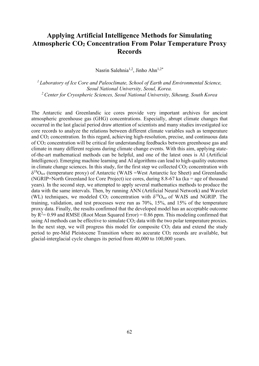# **Applying Artificial Intelligence Methods for Simulating Atmospheric CO2 Concentration From Polar Temperature Proxy Records**

Nasrin Salehnia<sup>1,2</sup>, Jinho Ahn<sup>1,2\*</sup>

*1 Laboratory of Ice Core and Paleoclimate, School of Earth and Environmental Science, Seoul National University, Seoul, Korea. 2 Center for Cryospheric Sciences, Seoul National University, Siheung, South Korea*

The Antarctic and Greenlandic ice cores provide very important archives for ancient atmospheric greenhouse gas (GHG) concentrations. Especially, abrupt climate changes that occurred in the last glacial period draw attention of scientists and many studies investigated ice core records to analyze the relations between different climate variables such as temperature and CO2 concentration. In this regard, achieving high-resolution, precise, and continuous data of CO2 concentration will be critical for understanding feedbacks between greenhouse gas and climate in many different regions during climate change events. With this aim, applying stateof-the-art mathematical methods can be helpful, and one of the latest ones is AI (Artificial Intelligence). Emerging machine learning and AI algorithms can lead to high-quality outcomes in climate change sciences. In this study, for the first step we collected  $CO<sub>2</sub>$  concentration with  $\delta^{18}O_{\text{ice}}$  (temperature proxy) of Antarctic (WAIS =West Antarctic Ice Sheet) and Greenlandic (NGRIP=North Greenland Ice Core Project) ice cores, during 8.8-67 ka (ka = age of thousand years). In the second step, we attempted to apply several mathematics methods to produce the data with the same intervals. Then, by running ANN (Artificial Neural Network) and Wavelet (WL) techniques, we modeled  $CO_2$  concentration with  $\delta^{18}O_{ice}$  of WAIS and NGRIP. The training, validation, and test processes were run as 70%, 15%, and 15% of the temperature proxy data. Finally, the results confirmed that the developed model has an acceptable outcome by  $R^2$  = 0.99 and RMSE (Root Mean Squared Error) = 0.86 ppm. This modeling confirmed that using AI methods can be effective to simulate  $CO<sub>2</sub>$  data with the two polar temperature proxies. In the next step, we will progress this model for composite  $CO<sub>2</sub>$  data and extend the study period to pre-Mid Pleistocene Transition where no accurate  $CO<sub>2</sub>$  records are available, but glacial-interglacial cycle changes its period from 40,000 to 100,000 years.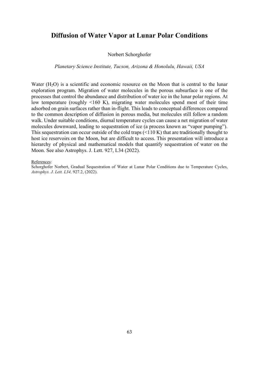### **Diffusion of Water Vapor at Lunar Polar Conditions**

#### Norbert Schorghofer

#### *Planetary Science Institute, Tucson, Arizona & Honolulu, Hawaii, USA*

Water  $(H<sub>2</sub>O)$  is a scientific and economic resource on the Moon that is central to the lunar exploration program. Migration of water molecules in the porous subsurface is one of the processes that control the abundance and distribution of water ice in the lunar polar regions. At low temperature (roughly <160 K), migrating water molecules spend most of their time adsorbed on grain surfaces rather than in-flight. This leads to conceptual differences compared to the common description of diffusion in porous media, but molecules still follow a random walk. Under suitable conditions, diurnal temperature cycles can cause a net migration of water molecules downward, leading to sequestration of ice (a process known as "vapor pumping"). This sequestration can occur outside of the cold traps (<110 K) that are traditionally thought to host ice reservoirs on the Moon, but are difficult to access. This presentation will introduce a hierarchy of physical and mathematical models that quantify sequestration of water on the Moon. See also Astrophys. J. Lett. 927, L34 (2022).

#### References:

Schorghofer Norbert, Gradual Sequestration of Water at Lunar Polar Conditions due to Temperature Cycles, *Astrophys. J. Lett. L34,* 927.2, (2022).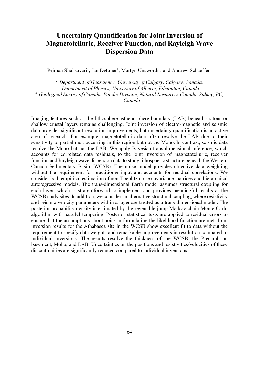# **Uncertainty Quantification for Joint Inversion of Magnetotelluric, Receiver Function, and Rayleigh Wave Dispersion Data**

Pejman Shahsavari<sup>1</sup>, Jan Dettmer<sup>1</sup>, Martyn Unsworth<sup>2</sup>, and Andrew Schaeffer<sup>3</sup>

*1 Department of Geoscience, University of Calgary, Calgary, Canada. 2 Department of Physics, University of Alberta, Edmonton, Canada. 3 Geological Survey of Canada, Pacific Division, Natural Resources Canada, Sidney, BC, Canada.*

Imaging features such as the lithosphere-asthenosphere boundary (LAB) beneath cratons or shallow crustal layers remains challenging. Joint inversion of electro-magnetic and seismic data provides significant resolution improvements, but uncertainty quantification is an active area of research. For example, magnetotelluric data often resolve the LAB due to their sensitivity to partial melt occurring in this region but not the Moho. In contrast, seismic data resolve the Moho but not the LAB. We apply Bayesian trans-dimensional inference, which accounts for correlated data residuals, to the joint inversion of magnetotelluric, receiver function and Rayleigh wave dispersion data to study lithospheric structure beneath the Western Canada Sedimentary Basin (WCSB). The noise model provides objective data weighting without the requirement for practitioner input and accounts for residual correlations. We consider both empirical estimation of non-Toeplitz noise covariance matrices and hierarchical autoregressive models. The trans-dimensional Earth model assumes structural coupling for each layer, which is straightforward to implement and provides meaningful results at the WCSB study sites. In addition, we consider an alternative structural coupling, where resistivity and seismic velocity parameters within a layer are treated as a trans-dimensional model. The posterior probability density is estimated by the reversible-jump Markov chain Monte Carlo algorithm with parallel tempering. Posterior statistical tests are applied to residual errors to ensure that the assumptions about noise in formulating the likelihood function are met. Joint inversion results for the Athabasca site in the WCSB show excellent fit to data without the requirement to specify data weights and remarkable improvements in resolution compared to individual inversions. The results resolve the thickness of the WCSB, the Precambrian basement, Moho, and LAB. Uncertainties on the positions and resistivities/velocities of these discontinuities are significantly reduced compared to individual inversions.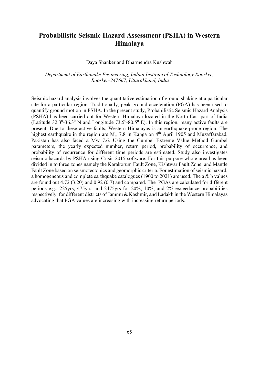## **Probabilistic Seismic Hazard Assessment (PSHA) in Western Himalaya**

#### Daya Shanker and Dharmendra Kushwah

#### *Department of Earthquake Engineering, Indian Institute of Technology Roorkee, Roorkee-247667, Uttarakhand, India*

Seismic hazard analysis involves the quantitative estimation of ground shaking at a particular site for a particular region. Traditionally, peak ground acceleration (PGA) has been used to quantify ground motion in PSHA. In the present study, Probabilistic Seismic Hazard Analysis (PSHA) has been carried out for Western Himalaya located in the North-East part of India (Latitude 32.3<sup>0</sup>-36.3<sup>0</sup> N and Longitude 73.5<sup>0</sup>-80.5<sup>0</sup> E). In this region, many active faults are present. Due to these active faults, Western Himalayas is an earthquake-prone region. The highest earthquake in the region are  $M_w$  7.8 in Kanga on 4<sup>th</sup> April 1905 and Muzaffarabad, Pakistan has also faced a Mw 7.6. Using the Gumbel Extreme Value Method Gumbel parameters, the yearly expected number, return period, probability of occurrence, and probability of recurrence for different time periods are estimated. Study also investigates seismic hazards by PSHA using Crisis 2015 software. For this purpose whole area has been divided in to three zones namely the Karakorum Fault Zone, Kishtwar Fault Zone, and Mantle Fault Zone based on seismotectonics and geomorphic criteria. For estimation of seismic hazard, a homogeneous and complete earthquake catalogues (1900 to 2021) are used. The a & b values are found out 4.72 (3.20) and 0.92 (0.7) and compared. The PGAs are calculated for different periods e.g., 225yrs, 475yrs, and 2475yrs for 20%, 10%, and 2% exceedance probabilities respectively, for different districts of Jammu & Kashmir, and Ladakh in the Western Himalayas advocating that PGA values are increasing with increasing return periods.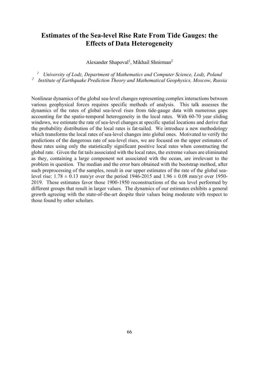## **Estimates of the Sea-level Rise Rate From Tide Gauges: the Effects of Data Heterogeneity**

Alexander Shapoval<sup>1</sup>, Mikhail Shnirman<sup>2</sup>

*<sup>1</sup> University of Lodz, Department of Mathematics and Computer Science, Lodz, Poland <sup>2</sup> Institute of Earthquake Prediction Theory and Mathematical Geophysics, Moscow, Russia*

Nonlinear dynamics of the global sea-level changes representing complex interactions between various geophysical forces requires specific methods of analysis. This talk assesses the dynamics of the rates of global sea-level rises from tide-gauge data with numerous gaps accounting for the spatio-temporal heterogeneity in the local rates. With 60-70 year sliding windows, we estimate the rate of sea-level changes at specific spatial locations and derive that the probability distribution of the local rates is fat-tailed. We introduce a new methodology which transforms the local rates of sea-level changes into global ones. Motivated to verify the predictions of the dangerous rate of sea-level rises, we are focused on the upper estimates of these rates using only the statistically significant positive local rates when constructing the global rate. Given the fat tails associated with the local rates, the extreme values are eliminated as they, containing a large component not associated with the ocean, are irrelevant to the problem in question. The median and the error bars obtained with the bootstrap method, after such preprocessing of the samples, result in our upper estimates of the rate of the global sealevel rise:  $1.78 \pm 0.13$  mm/yr over the period 1946-2015 and  $1.96 \pm 0.08$  mm/yr over 1950-2019. These estimates favor those 1900-1950 reconstructions of the sea level performed by different groups that result in larger values. The dynamics of our estimates exhibits a general growth agreeing with the state-of-the-art despite their values being moderate with respect to those found by other scholars.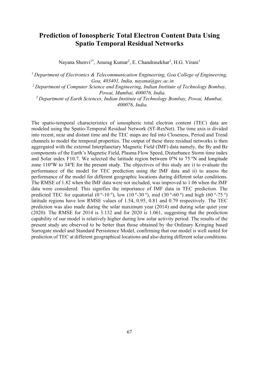# **Prediction of Ionospheric Total Electron Content Data Using Spatio Temporal Residual Networks**

Nayana Shenvi<sup>1\*</sup>, Anurag Kumar<sup>2</sup>, E. Chandrasekhar<sup>3</sup>, H.G. Virani<sup>1</sup>

*1 Department of Electronics & Telecommunication Engineering, Goa College of Engineering, Goa, 403401, India. nayana@gec.ac.in*

*2 Department of Computer Science and Engineering, Indian Institute of Technology Bombay, Powai, Mumbai, 400076, India.*

*3 Department of Earth Sciences, Indian Institute of Technology Bombay, Powai, Mumbai, 400076, India.*

The spatio-temporal characteristics of ionospheric total electron content (TEC) data are modeled using the Spatio-Temporal Residual Network (ST-ResNet). The time axis is divided into recent, near and distant time and the TEC maps are fed into Closeness, Period and Trend channels to model the temporal properties. The output of these three residual networks is then aggregated with the external Interplanetary Magnetic Field (IMF) data namely, the By and Bz components of the Earth's Magnetic Field, Plasma Flow Speed, Disturbance Storm time index and Solar index F10.7. We selected the latitude region between  $0^\circ$ N to 75  $^\circ$ N and longitude zone 110°W to 34°E for the present study. The objectives of this study are i) to evaluate the performance of the model for TEC prediction using the IMF data and ii) to assess the performance of the model for different geographic locations during different solar conditions. The RMSE of 1.82 when the IMF data were not included, was improved to 1.06 when the IMF data were considered. This signifies the importance of IMF data in TEC prediction. The predicted TEC for equatorial (0<sup>o</sup>-10<sup>o</sup>), low (10<sup>o</sup>-30<sup>o</sup>), mid (30<sup>o</sup>-60<sup>o</sup>) and high (60<sup>o</sup>-75<sup>o</sup>) latitude regions have low RMSE values of 1.54, 0.95, 0.81 and 0.79 respectively. The TEC prediction was also made during the solar maximum year (2014) and during solar quiet year (2020). The RMSE for 2014 is 3.132 and for 2020 is 1.061, suggesting that the prediction capability of our model is relatively higher during low solar activity period. The results of the present study are observed to be better than those obtained by the Ordinary Kringing based Surrogate model and Standard Persistence Model, confirming that our model is well suited for prediction of TEC at different geographical locations and also during different solar conditions.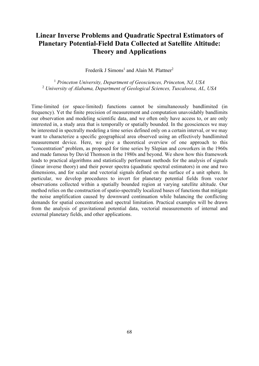# **Linear Inverse Problems and Quadratic Spectral Estimators of Planetary Potential-Field Data Collected at Satellite Altitude: Theory and Applications**

Frederik J Simons<sup>1</sup> and Alain M. Plattner<sup>2</sup>

<sup>1</sup> *Princeton University, Department of Geosciences, Princeton, NJ, USA* <sup>2</sup> *University of Alabama, Department of Geological Sciences, Tuscaloosa, AL, USA*

Time-limited (or space-limited) functions cannot be simultaneously bandlimited (in frequency). Yet the finite precision of measurement and computation unavoidably bandlimits our observation and modeling scientific data, and we often only have access to, or are only interested in, a study area that is temporally or spatially bounded. In the geosciences we may be interested in spectrally modeling a time series defined only on a certain interval, or we may want to characterize a specific geographical area observed using an effectively bandlimited measurement device. Here, we give a theoretical overview of one approach to this "concentration" problem, as proposed for time series by Slepian and coworkers in the 1960s and made famous by David Thomson in the 1980s and beyond. We show how this framework leads to practical algorithms and statistically performant methods for the analysis of signals (linear inverse theory) and their power spectra (quadratic spectral estimators) in one and two dimensions, and for scalar and vectorial signals defined on the surface of a unit sphere. In particular, we develop procedures to invert for planetary potential fields from vector observations collected within a spatially bounded region at varying satellite altitude. Our method relies on the construction of spatio-spectrally localized bases of functions that mitigate the noise amplification caused by downward continuation while balancing the conflicting demands for spatial concentration and spectral limitation. Practical examples will be drawn from the analysis of gravitational potential data, vectorial measurements of internal and external planetary fields, and other applications.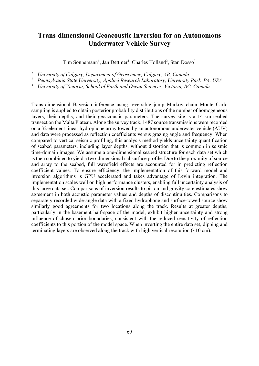## **Trans-dimensional Geoacoustic Inversion for an Autonomous Underwater Vehicle Survey**

Tim Sonnemann<sup>1</sup>, Jan Dettmer<sup>1</sup>, Charles Holland<sup>2</sup>, Stan Dosso<sup>3</sup>

*<sup>1</sup> University of Calgary, Department of Geoscience, Calgary, AB, Canada*

*<sup>2</sup> Pennsylvania State University, Applied Research Laboratory, University Park, PA, USA*

*<sup>3</sup> University of Victoria, School of Earth and Ocean Sciences, Victoria, BC, Canada*

Trans-dimensional Bayesian inference using reversible jump Markov chain Monte Carlo sampling is applied to obtain posterior probability distributions of the number of homogeneous layers, their depths, and their geoacoustic parameters. The survey site is a 14-km seabed transect on the Malta Plateau. Along the survey track, 1487 source transmissions were recorded on a 32-element linear hydrophone array towed by an autonomous underwater vehicle (AUV) and data were processed as reflection coefficients versus grazing angle and frequency. When compared to vertical seismic profiling, this analysis method yields uncertainty quantification of seabed parameters, including layer depths, without distortion that is common in seismic time-domain images. We assume a one-dimensional seabed structure for each data set which is then combined to yield a two-dimensional subsurface profile. Due to the proximity of source and array to the seabed, full wavefield effects are accounted for in predicting reflection coefficient values. To ensure efficiency, the implementation of this forward model and inversion algorithms is GPU accelerated and takes advantage of Levin integration. The implementation scales well on high performance clusters, enabling full uncertainty analysis of this large data set. Comparisons of inversion results to piston and gravity core estimates show agreement in both acoustic parameter values and depths of discontinuities. Comparisons to separately recorded wide-angle data with a fixed hydrophone and surface-towed source show similarly good agreements for two locations along the track. Results at greater depths, particularly in the basement half-space of the model, exhibit higher uncertainty and strong influence of chosen prior boundaries, consistent with the reduced sensitivity of reflection coefficients to this portion of the model space. When inverting the entire data set, dipping and terminating layers are observed along the track with high vertical resolution  $(\sim 10 \text{ cm})$ .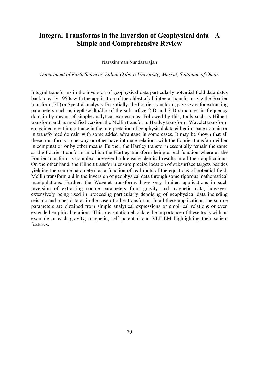# **Integral Transforms in the Inversion of Geophysical data - A Simple and Comprehensive Review**

#### Narasimman Sundararajan

#### *Department of Earth Sciences, Sultan Qaboos University, Muscat, Sultanate of Oman*

Integral transforms in the inversion of geophysical data particularly potential field data dates back to early 1950s with the application of the oldest of all integral transforms viz.the Fourier transform(FT) or Spectral analysis. Essentially, the Fourier transform, paves way for extracting parameters such as depth/width/dip of the subsurface 2-D and 3-D structures in frequency domain by means of simple analytical expressions. Followed by this, tools such as Hilbert transform and its modified version, the Mellin transform, Hartley transform, Wavelet transform etc gained great importance in the interpretation of geophysical data either in space domain or in transformed domain with some added advantage in some cases. It may be shown that all these transforms some way or other have intimate relations with the Fourier transform either in computation or by other means. Further, the Hartley transform essentially remain the same as the Fourier transform in which the Hartley transform being a real function where as the Fourier transform is complex, however both ensure identical results in all their applications. On the other hand, the Hilbert transform ensure precise location of subsurface targets besides yielding the source parameters as a function of real roots of the equations of potential field. Mellin transform aid in the inversion of geophysical data through some rigorous mathematical manipulations. Further, the Wavelet transforms have very limited applications in such inversion of extracting source parameters from gravity and magnetic data, however, extensively being used in processing particularly denoising of geophysical data including seismic and other data as in the case of other transforms. In all these applications, the source parameters are obtained from simple analytical expressions or empirical relations or even extended empirical relations. This presentation elucidate the importance of these tools with an example in each gravity, magnetic, self potential and VLF-EM highlighting their salient features.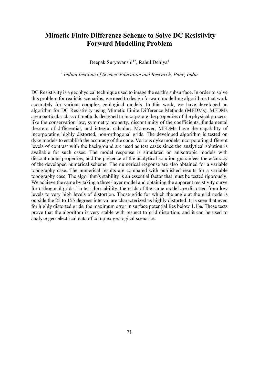# **Mimetic Finite Difference Scheme to Solve DC Resistivity Forward Modelling Problem**

Deepak Suryavanshi<sup>1\*</sup>, Rahul Dehiya<sup>1</sup>

*1 Indian Institute of Science Education and Research, Pune, India*

DC Resistivity is a geophysical technique used to image the earth's subsurface. In order to solve this problem for realistic scenarios, we need to design forward modelling algorithms that work accurately for various complex geological models. In this work, we have developed an algorithm for DC Resistivity using Mimetic Finite Difference Methods (MFDMs). MFDMs are a particular class of methods designed to incorporate the properties of the physical process, like the conservation law, symmetry property, discontinuity of the coefficients, fundamental theorem of differential, and integral calculus. Moreover, MFDMs have the capability of incorporating highly distorted, non-orthogonal grids. The developed algorithm is tested on dyke models to establish the accuracy of the code. Various dyke models incorporating different levels of contrast with the background are used as test cases since the analytical solution is available for such cases. The model response is simulated on anisotropic models with discontinuous properties, and the presence of the analytical solution guarantees the accuracy of the developed numerical scheme. The numerical response are also obtained for a variable topography case. The numerical results are compared with published results for a variable topography case. The algorithm's stability is an essential factor that must be tested rigorously. We achieve the same by taking a three-layer model and obtaining the apparent resistivity curve for orthogonal grids. To test the stability, the grids of the same model are distorted from low levels to very high levels of distortion. Those grids for which the angle at the grid node is outside the 25 to 155 degrees interval are characterized as highly distorted. It is seen that even for highly distorted grids, the maximum error in surface potential lies below 1.1%. These tests prove that the algorithm is very stable with respect to grid distortion, and it can be used to analyse geo-electrical data of complex geological scenarios.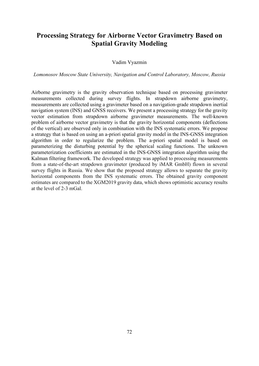# **Processing Strategy for Airborne Vector Gravimetry Based on Spatial Gravity Modeling**

#### Vadim Vyazmin

*Lomonosov Moscow State University, Navigation and Control Laboratory, Moscow, Russia*

Airborne gravimetry is the gravity observation technique based on processing gravimeter measurements collected during survey flights. In strapdown airborne gravimetry, measurements are collected using a gravimeter based on a navigation-grade strapdown inertial navigation system (INS) and GNSS receivers. We present a processing strategy for the gravity vector estimation from strapdown airborne gravimeter measurements. The well-known problem of airborne vector gravimetry is that the gravity horizontal components (deflections of the vertical) are observed only in combination with the INS systematic errors. We propose a strategy that is based on using an a-priori spatial gravity model in the INS-GNSS integration algorithm in order to regularize the problem. The a-priori spatial model is based on parameterizing the disturbing potential by the spherical scaling functions. The unknown parameterization coefficients are estimated in the INS-GNSS integration algorithm using the Kalman filtering framework. The developed strategy was applied to processing measurements from a state-of-the-art strapdown gravimeter (produced by iMAR GmbH) flown in several survey flights in Russia. We show that the proposed strategy allows to separate the gravity horizontal components from the INS systematic errors. The obtained gravity component estimates are compared to the XGM2019 gravity data, which shows optimistic accuracy results at the level of 2-3 mGal.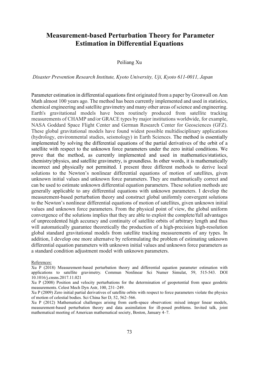# **Measurement-based Perturbation Theory for Parameter Estimation in Differential Equations**

### Peiliang Xu

#### *Disaster Prevention Research Institute, Kyoto University, Uji, Kyoto 611-0011, Japan*

Parameter estimation in differential equations first originated from a paper by Gronwall on Ann Math almost 100 years ago. The method has been currently implemented and used in statistics, chemical engineering and satellite gravimetry and many other areas of science and engineering. Earth's gravitational models have been routinely produced from satellite tracking measurements of CHAMP and/or GRACE types by major institutions worldwide, for example, NASA Goddard Space Flight Center and German Research Center for Geosciences (GFZ). These global gravitational models have found widest possible multidisciplinary applications (hydrology, environmental studies, seismology) in Earth Sciences. The method is essentially implemented by solving the differential equations of the partial derivatives of the orbit of a satellite with respect to the unknown force parameters under the zero initial conditions. We prove that the method, as currently implemented and used in mathematics/statistics, chemistry/physics, and satellite gravimetry, is groundless. In other words, it is mathematically incorrect and physically not permitted. I present three different methods to derive local solutions to the Newton's nonlinear differential equations of motion of satellites, given unknown initial values and unknown force parameters. They are mathematically correct and can be used to estimate unknown differential equation parameters. These solution methods are generally applicable to any differential equations with unknown parameters. I develop the measurement-based perturbation theory and construct global uniformly convergent solutions to the Newton's nonlinear differential equations of motion of satellites, given unknown initial values and unknown force parameters. From the physical point of view, the global uniform convergence of the solutions implies that they are able to exploit the complete/full advantages of unprecedented high accuracy and continuity of satellite orbits of arbitrary length and thus will automatically guarantee theoretically the production of a high-precision high-resolution global standard gravitational models from satellite tracking measurements of any types. In addition, I develop one more alternatve by reformulating the problem of estimating unknown differential equation parameters with unknown initial values and unknown force parameters as a standard condition adjustment model with unknown parameters.

References:

Xu P (2018) Measurement-based perturbation theory and differential equation parameter estimation with applications to satellite gravimetry. Commun Nonlinear Sci Numer Simulat, 59, 515-543. DOI 10.1016/j.cnsns.2017.11.021

Xu P (2008) Position and velocity perturbations for the determination of geopotential from space geodetic measurements. Celest Mech Dyn Astr, 100, 231–249.

Xu P (2009) Zero initial partial derivatives of satellite orbits with respect to force parameters violate the physics of motion of celestial bodies. Sci China Ser D, 52, 562–566.

Xu P (2012) Mathematical challenges arising from earth-space observation: mixed integer linear models, measurement-based perturbation theory and data assimilation for ill-posed problems. Invited talk, joint mathematical meeting of American mathematical society, Boston, January 4–7.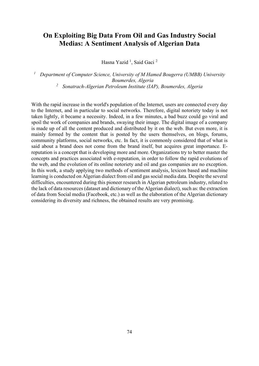# **On Exploiting Big Data From Oil and Gas Industry Social Medias: A Sentiment Analysis of Algerian Data**

Hasna Yazid<sup>1</sup>, Said Gaci<sup>2</sup>

*<sup>1</sup> Department of Computer Science, University of M Hamed Bougerra (UMBB) University Boumerdes, Algeria <sup>2</sup> Sonatrach-Algerian Petroleum Institute (IAP), Boumerdes, Algeria* 

With the rapid increase in the world's population of the Internet, users are connected every day to the Internet, and in particular to social networks. Therefore, digital notoriety today is not taken lightly, it became a necessity. Indeed, in a few minutes, a bad buzz could go viral and spoil the work of companies and brands, swaying their image. The digital image of a company is made up of all the content produced and distributed by it on the web. But even more, it is mainly formed by the content that is posted by the users themselves, on blogs, forums, community platforms, social networks, etc. In fact, it is commonly considered that of what is said about a brand does not come from the brand itself, but acquires great importance. Ereputation is a concept that is developing more and more. Organizations try to better master the concepts and practices associated with e-reputation, in order to follow the rapid evolutions of the web, and the evolution of its online notoriety and oil and gas companies are no exception. In this work, a study applying two methods of sentiment analysis, lexicon based and machine learning is conducted on Algerian dialect from oil and gas social media data. Despite the several difficulties, encountered during this pioneer research in Algerian petroleum industry, related to the lack of data resources (dataset and dictionary of the Algerian dialect), such as: the extraction of data from Social media (Facebook, etc.) as well as the elaboration of the Algerian dictionary considering its diversity and richness, the obtained results are very promising.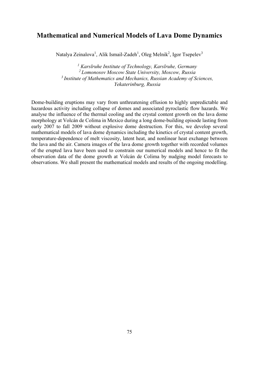### **Mathematical and Numerical Models of Lava Dome Dynamics**

Natalya Zeinalova<sup>1</sup>, Alik Ismail-Zadeh<sup>1</sup>, Oleg Melnik<sup>2</sup>, Igor Tsepelev<sup>3</sup>

*<sup>1</sup> Karslruhe Institute of Technology, Karslruhe, Germany 2 Lomonosov Moscow State University, Moscow, Russia 3 Institute of Mathematics and Mechanics, Russian Academy of Sciences, Yekaterinburg, Russia*

Dome-building eruptions may vary from unthreatening effusion to highly unpredictable and hazardous activity including collapse of domes and associated pyroclastic flow hazards. We analyse the influence of the thermal cooling and the crystal content growth on the lava dome morphology at Volcán de Colima in Mexico during a long dome-building episode lasting from early 2007 to fall 2009 without explosive dome destruction. For this, we develop several mathematical models of lava dome dynamics including the kinetics of crystal content growth, temperature-dependence of melt viscosity, latent heat, and nonlinear heat exchange between the lava and the air. Camera images of the lava dome growth together with recorded volumes of the erupted lava have been used to constrain our numerical models and hence to fit the observation data of the dome growth at Volcán de Colima by nudging model forecasts to observations. We shall present the mathematical models and results of the ongoing modelling.